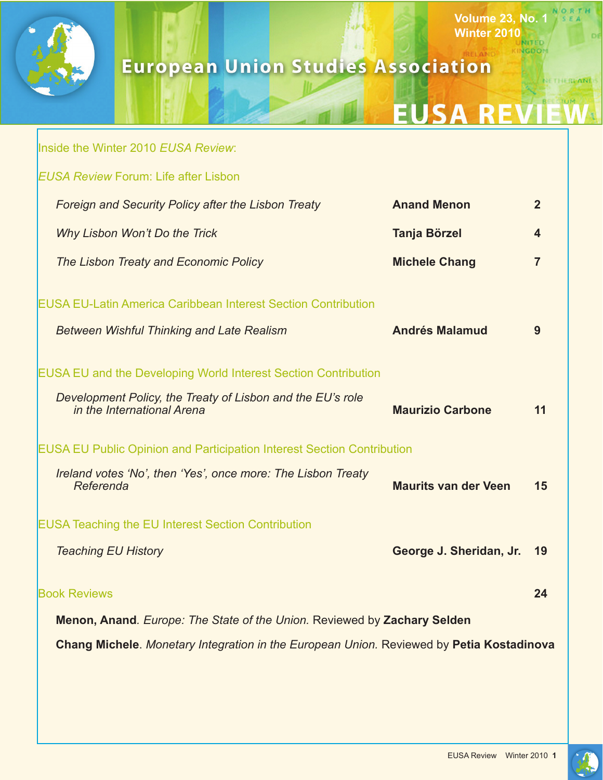

# **European Union Studies Association**

# **EUSA REVI**

**Volume 23, No. 1 Winter 2010**

VGDOM

NETHERPAND

|                                                                                          | Inside the Winter 2010 EUSA Review:                                                                                                                               |                             |                |
|------------------------------------------------------------------------------------------|-------------------------------------------------------------------------------------------------------------------------------------------------------------------|-----------------------------|----------------|
|                                                                                          | <b>EUSA Review Forum: Life after Lisbon</b>                                                                                                                       |                             |                |
|                                                                                          | Foreign and Security Policy after the Lisbon Treaty                                                                                                               | <b>Anand Menon</b>          | $\overline{2}$ |
|                                                                                          | Why Lisbon Won't Do the Trick                                                                                                                                     | <b>Tanja Börzel</b>         | 4              |
|                                                                                          | The Lisbon Treaty and Economic Policy                                                                                                                             | <b>Michele Chang</b>        | 7              |
|                                                                                          | <b>EUSA EU-Latin America Caribbean Interest Section Contribution</b><br><b>Between Wishful Thinking and Late Realism</b>                                          | <b>Andrés Malamud</b>       | 9              |
|                                                                                          | <b>EUSA EU and the Developing World Interest Section Contribution</b><br>Development Policy, the Treaty of Lisbon and the EU's role<br>in the International Arena | <b>Maurizio Carbone</b>     | 11             |
| <b>EUSA EU Public Opinion and Participation Interest Section Contribution</b>            |                                                                                                                                                                   |                             |                |
|                                                                                          | Ireland votes 'No', then 'Yes', once more: The Lisbon Treaty<br>Referenda                                                                                         | <b>Maurits van der Veen</b> | 15             |
| <b>EUSA Teaching the EU Interest Section Contribution</b>                                |                                                                                                                                                                   |                             |                |
|                                                                                          | <b>Teaching EU History</b>                                                                                                                                        | George J. Sheridan, Jr.     | 19             |
|                                                                                          | <b>Book Reviews</b>                                                                                                                                               |                             | 24             |
| Menon, Anand. Europe: The State of the Union. Reviewed by Zachary Selden                 |                                                                                                                                                                   |                             |                |
| Chang Michele. Monetary Integration in the European Union. Reviewed by Petia Kostadinova |                                                                                                                                                                   |                             |                |

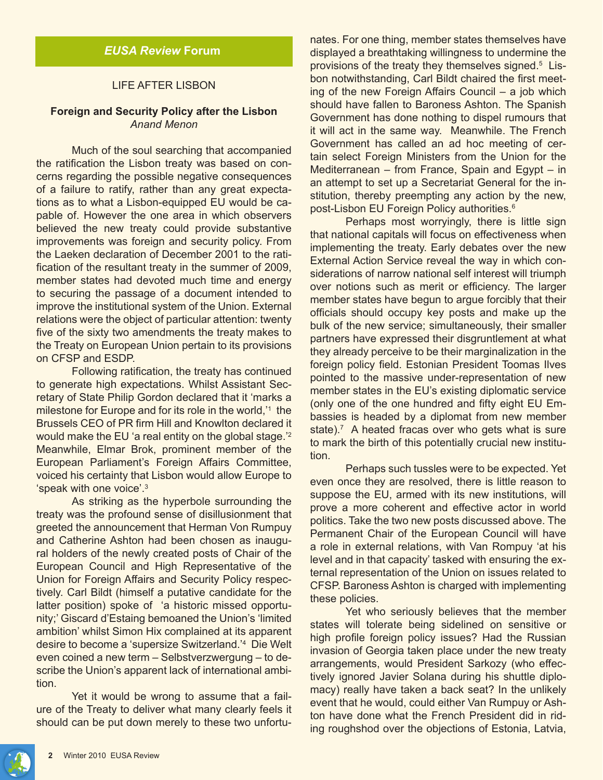#### LIFE AFTER LISBON

# **Foreign and Security Policy after the Lisbon** *Anand Menon*

Much of the soul searching that accompanied the ratification the Lisbon treaty was based on concerns regarding the possible negative consequences of a failure to ratify, rather than any great expectations as to what a Lisbon-equipped EU would be capable of. However the one area in which observers believed the new treaty could provide substantive improvements was foreign and security policy. From the Laeken declaration of December 2001 to the ratification of the resultant treaty in the summer of 2009, member states had devoted much time and energy to securing the passage of a document intended to improve the institutional system of the Union. External relations were the object of particular attention: twenty five of the sixty two amendments the treaty makes to the Treaty on European Union pertain to its provisions on CFSP and ESDP.

Following ratification, the treaty has continued to generate high expectations. Whilst Assistant Secretary of State Philip Gordon declared that it 'marks a milestone for Europe and for its role in the world,'1 the Brussels CEO of PR firm Hill and Knowlton declared it would make the EU 'a real entity on the global stage.'2 Meanwhile, Elmar Brok, prominent member of the European Parliament's Foreign Affairs Committee, voiced his certainty that Lisbon would allow Europe to 'speak with one voice'.3

As striking as the hyperbole surrounding the treaty was the profound sense of disillusionment that greeted the announcement that Herman Von Rumpuy and Catherine Ashton had been chosen as inaugural holders of the newly created posts of Chair of the European Council and High Representative of the Union for Foreign Affairs and Security Policy respectively. Carl Bildt (himself a putative candidate for the latter position) spoke of 'a historic missed opportunity;' Giscard d'Estaing bemoaned the Union's 'limited ambition' whilst Simon Hix complained at its apparent desire to become a 'supersize Switzerland.'4 Die Welt even coined a new term – Selbstverzwergung – to describe the Union's apparent lack of international ambition.

Yet it would be wrong to assume that a failure of the Treaty to deliver what many clearly feels it should can be put down merely to these two unfortunates. For one thing, member states themselves have displayed a breathtaking willingness to undermine the provisions of the treaty they themselves signed.<sup>5</sup> Lisbon notwithstanding, Carl Bildt chaired the first meeting of the new Foreign Affairs Council – a job which should have fallen to Baroness Ashton. The Spanish Government has done nothing to dispel rumours that it will act in the same way. Meanwhile. The French Government has called an ad hoc meeting of certain select Foreign Ministers from the Union for the Mediterranean – from France, Spain and Egypt – in an attempt to set up a Secretariat General for the institution, thereby preempting any action by the new, post-Lisbon EU Foreign Policy authorities.<sup>6</sup>

Perhaps most worryingly, there is little sign that national capitals will focus on effectiveness when implementing the treaty. Early debates over the new External Action Service reveal the way in which considerations of narrow national self interest will triumph over notions such as merit or efficiency. The larger member states have begun to argue forcibly that their officials should occupy key posts and make up the bulk of the new service; simultaneously, their smaller partners have expressed their disgruntlement at what they already perceive to be their marginalization in the foreign policy field. Estonian President Toomas Ilves pointed to the massive under-representation of new member states in the EU's existing diplomatic service (only one of the one hundred and fifty eight EU Embassies is headed by a diplomat from new member state).<sup>7</sup> A heated fracas over who gets what is sure to mark the birth of this potentially crucial new institution.

Perhaps such tussles were to be expected. Yet even once they are resolved, there is little reason to suppose the EU, armed with its new institutions, will prove a more coherent and effective actor in world politics. Take the two new posts discussed above. The Permanent Chair of the European Council will have a role in external relations, with Van Rompuy 'at his level and in that capacity' tasked with ensuring the external representation of the Union on issues related to CFSP. Baroness Ashton is charged with implementing these policies.

Yet who seriously believes that the member states will tolerate being sidelined on sensitive or high profile foreign policy issues? Had the Russian invasion of Georgia taken place under the new treaty arrangements, would President Sarkozy (who effectively ignored Javier Solana during his shuttle diplomacy) really have taken a back seat? In the unlikely event that he would, could either Van Rumpuy or Ashton have done what the French President did in riding roughshod over the objections of Estonia, Latvia,

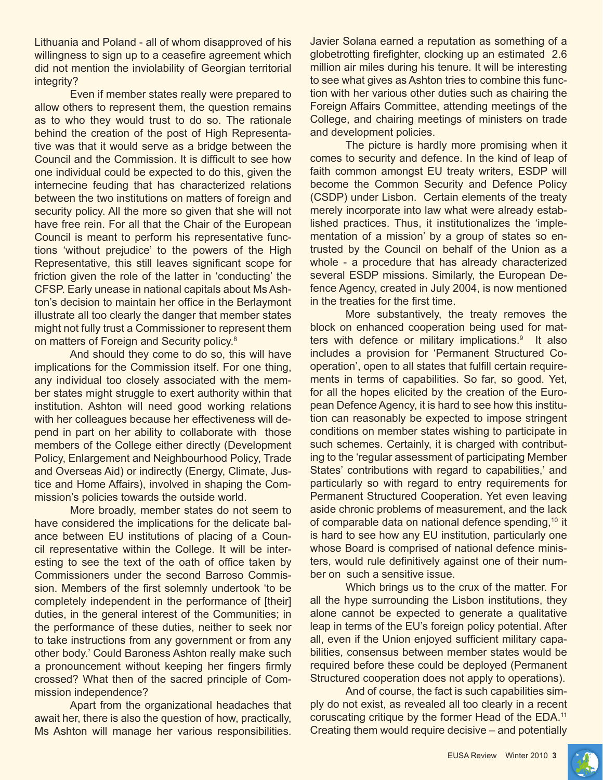Lithuania and Poland - all of whom disapproved of his willingness to sign up to a ceasefire agreement which did not mention the inviolability of Georgian territorial integrity?

Even if member states really were prepared to allow others to represent them, the question remains as to who they would trust to do so. The rationale behind the creation of the post of High Representative was that it would serve as a bridge between the Council and the Commission. It is difficult to see how one individual could be expected to do this, given the internecine feuding that has characterized relations between the two institutions on matters of foreign and security policy. All the more so given that she will not have free rein. For all that the Chair of the European Council is meant to perform his representative functions 'without prejudice' to the powers of the High Representative, this still leaves significant scope for friction given the role of the latter in 'conducting' the CFSP. Early unease in national capitals about Ms Ashton's decision to maintain her office in the Berlaymont illustrate all too clearly the danger that member states might not fully trust a Commissioner to represent them on matters of Foreign and Security policy.<sup>8</sup>

And should they come to do so, this will have implications for the Commission itself. For one thing, any individual too closely associated with the member states might struggle to exert authority within that institution. Ashton will need good working relations with her colleagues because her effectiveness will depend in part on her ability to collaborate with those members of the College either directly (Development Policy, Enlargement and Neighbourhood Policy, Trade and Overseas Aid) or indirectly (Energy, Climate, Justice and Home Affairs), involved in shaping the Commission's policies towards the outside world.

More broadly, member states do not seem to have considered the implications for the delicate balance between EU institutions of placing of a Council representative within the College. It will be interesting to see the text of the oath of office taken by Commissioners under the second Barroso Commission. Members of the first solemnly undertook 'to be completely independent in the performance of [their] duties, in the general interest of the Communities; in the performance of these duties, neither to seek nor to take instructions from any government or from any other body.' Could Baroness Ashton really make such a pronouncement without keeping her fingers firmly crossed? What then of the sacred principle of Commission independence?

Apart from the organizational headaches that await her, there is also the question of how, practically, Ms Ashton will manage her various responsibilities.

Javier Solana earned a reputation as something of a globetrotting firefighter, clocking up an estimated 2.6 million air miles during his tenure. It will be interesting to see what gives as Ashton tries to combine this function with her various other duties such as chairing the Foreign Affairs Committee, attending meetings of the College, and chairing meetings of ministers on trade and development policies.

The picture is hardly more promising when it comes to security and defence. In the kind of leap of faith common amongst EU treaty writers, ESDP will become the Common Security and Defence Policy (CSDP) under Lisbon. Certain elements of the treaty merely incorporate into law what were already established practices. Thus, it institutionalizes the 'implementation of a mission' by a group of states so entrusted by the Council on behalf of the Union as a whole - a procedure that has already characterized several ESDP missions. Similarly, the European Defence Agency, created in July 2004, is now mentioned in the treaties for the first time.

More substantively, the treaty removes the block on enhanced cooperation being used for matters with defence or military implications.<sup>9</sup> It also includes a provision for 'Permanent Structured Cooperation', open to all states that fulfill certain requirements in terms of capabilities. So far, so good. Yet, for all the hopes elicited by the creation of the European Defence Agency, it is hard to see how this institution can reasonably be expected to impose stringent conditions on member states wishing to participate in such schemes. Certainly, it is charged with contributing to the 'regular assessment of participating Member States' contributions with regard to capabilities,' and particularly so with regard to entry requirements for Permanent Structured Cooperation. Yet even leaving aside chronic problems of measurement, and the lack of comparable data on national defence spending,<sup>10</sup> it is hard to see how any EU institution, particularly one whose Board is comprised of national defence ministers, would rule definitively against one of their number on such a sensitive issue.

Which brings us to the crux of the matter. For all the hype surrounding the Lisbon institutions, they alone cannot be expected to generate a qualitative leap in terms of the EU's foreign policy potential. After all, even if the Union enjoyed sufficient military capabilities, consensus between member states would be required before these could be deployed (Permanent Structured cooperation does not apply to operations).

And of course, the fact is such capabilities simply do not exist, as revealed all too clearly in a recent coruscating critique by the former Head of the EDA.<sup>11</sup> Creating them would require decisive – and potentially

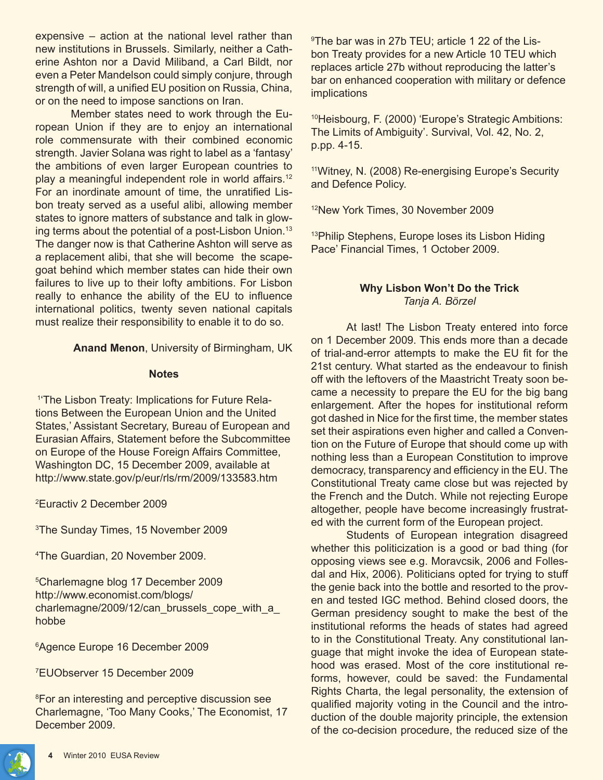expensive – action at the national level rather than new institutions in Brussels. Similarly, neither a Catherine Ashton nor a David Miliband, a Carl Bildt, nor even a Peter Mandelson could simply conjure, through strength of will, a unified EU position on Russia, China, or on the need to impose sanctions on Iran.

Member states need to work through the European Union if they are to enjoy an international role commensurate with their combined economic strength. Javier Solana was right to label as a 'fantasy' the ambitions of even larger European countries to play a meaningful independent role in world affairs.<sup>12</sup> For an inordinate amount of time, the unratified Lisbon treaty served as a useful alibi, allowing member states to ignore matters of substance and talk in glowing terms about the potential of a post-Lisbon Union.<sup>13</sup> The danger now is that Catherine Ashton will serve as a replacement alibi, that she will become the scapegoat behind which member states can hide their own failures to live up to their lofty ambitions. For Lisbon really to enhance the ability of the EU to influence international politics, twenty seven national capitals must realize their responsibility to enable it to do so.

**Anand Menon**, University of Birmingham, UK

#### **Notes**

 1'The Lisbon Treaty: Implications for Future Relations Between the European Union and the United States,' Assistant Secretary, Bureau of European and Eurasian Affairs, Statement before the Subcommittee on Europe of the House Foreign Affairs Committee, Washington DC, 15 December 2009, available at http://www.state.gov/p/eur/rls/rm/2009/133583.htm

2 Euractiv 2 December 2009

3 The Sunday Times, 15 November 2009

4 The Guardian, 20 November 2009.

5 Charlemagne blog 17 December 2009 http://www.economist.com/blogs/ charlemagne/2009/12/can\_brussels\_cope\_with\_a hobbe

6 Agence Europe 16 December 2009

7 EUObserver 15 December 2009

8 For an interesting and perceptive discussion see Charlemagne, 'Too Many Cooks,' The Economist, 17 December 2009.

9 The bar was in 27b TEU; article 1 22 of the Lisbon Treaty provides for a new Article 10 TEU which replaces article 27b without reproducing the latter's bar on enhanced cooperation with military or defence implications

<sup>10</sup>Heisbourg, F. (2000) 'Europe's Strategic Ambitions: The Limits of Ambiguity'. Survival, Vol. 42, No. 2, p.pp. 4-15.

11Witney, N. (2008) Re-energising Europe's Security and Defence Policy.

<sup>12</sup>New York Times, 30 November 2009

<sup>13</sup>Philip Stephens, Europe loses its Lisbon Hiding Pace' Financial Times, 1 October 2009.

# **Why Lisbon Won't Do the Trick** *Tanja A. Börzel*

At last! The Lisbon Treaty entered into force on 1 December 2009. This ends more than a decade of trial-and-error attempts to make the EU fit for the 21st century. What started as the endeavour to finish off with the leftovers of the Maastricht Treaty soon became a necessity to prepare the EU for the big bang enlargement. After the hopes for institutional reform got dashed in Nice for the first time, the member states set their aspirations even higher and called a Convention on the Future of Europe that should come up with nothing less than a European Constitution to improve democracy, transparency and efficiency in the EU. The Constitutional Treaty came close but was rejected by the French and the Dutch. While not rejecting Europe altogether, people have become increasingly frustrated with the current form of the European project.

Students of European integration disagreed whether this politicization is a good or bad thing (for opposing views see e.g. Moravcsik, 2006 and Follesdal and Hix, 2006). Politicians opted for trying to stuff the genie back into the bottle and resorted to the proven and tested IGC method. Behind closed doors, the German presidency sought to make the best of the institutional reforms the heads of states had agreed to in the Constitutional Treaty. Any constitutional language that might invoke the idea of European statehood was erased. Most of the core institutional reforms, however, could be saved: the Fundamental Rights Charta, the legal personality, the extension of qualified majority voting in the Council and the introduction of the double majority principle, the extension of the co-decision procedure, the reduced size of the

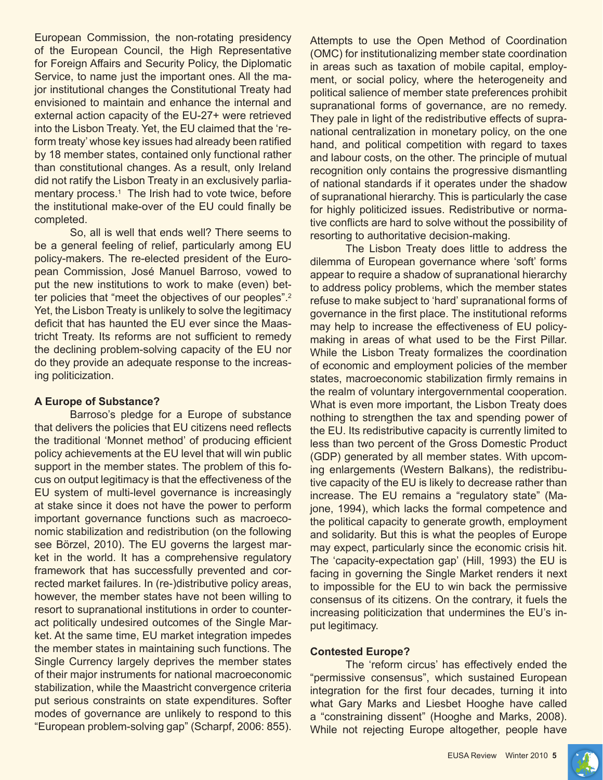European Commission, the non-rotating presidency of the European Council, the High Representative for Foreign Affairs and Security Policy, the Diplomatic Service, to name just the important ones. All the major institutional changes the Constitutional Treaty had envisioned to maintain and enhance the internal and external action capacity of the EU-27+ were retrieved into the Lisbon Treaty. Yet, the EU claimed that the 'reform treaty' whose key issues had already been ratified by 18 member states, contained only functional rather than constitutional changes. As a result, only Ireland did not ratify the Lisbon Treaty in an exclusively parliamentary process.<sup>1</sup> The Irish had to vote twice, before the institutional make-over of the EU could finally be completed.

So, all is well that ends well? There seems to be a general feeling of relief, particularly among EU policy-makers. The re-elected president of the European Commission, José Manuel Barroso, vowed to put the new institutions to work to make (even) better policies that "meet the objectives of our peoples".<sup>2</sup> Yet, the Lisbon Treaty is unlikely to solve the legitimacy deficit that has haunted the EU ever since the Maastricht Treaty. Its reforms are not sufficient to remedy the declining problem-solving capacity of the EU nor do they provide an adequate response to the increasing politicization.

# **A Europe of Substance?**

Barroso's pledge for a Europe of substance that delivers the policies that EU citizens need reflects the traditional 'Monnet method' of producing efficient policy achievements at the EU level that will win public support in the member states. The problem of this focus on output legitimacy is that the effectiveness of the EU system of multi-level governance is increasingly at stake since it does not have the power to perform important governance functions such as macroeconomic stabilization and redistribution (on the following see Börzel, 2010). The EU governs the largest market in the world. It has a comprehensive regulatory framework that has successfully prevented and corrected market failures. In (re-)distributive policy areas, however, the member states have not been willing to resort to supranational institutions in order to counteract politically undesired outcomes of the Single Market. At the same time, EU market integration impedes the member states in maintaining such functions. The Single Currency largely deprives the member states of their major instruments for national macroeconomic stabilization, while the Maastricht convergence criteria put serious constraints on state expenditures. Softer modes of governance are unlikely to respond to this "European problem-solving gap" (Scharpf, 2006: 855).

Attempts to use the Open Method of Coordination (OMC) for institutionalizing member state coordination in areas such as taxation of mobile capital, employment, or social policy, where the heterogeneity and political salience of member state preferences prohibit supranational forms of governance, are no remedy. They pale in light of the redistributive effects of supranational centralization in monetary policy, on the one hand, and political competition with regard to taxes and labour costs, on the other. The principle of mutual recognition only contains the progressive dismantling of national standards if it operates under the shadow of supranational hierarchy. This is particularly the case for highly politicized issues. Redistributive or normative conflicts are hard to solve without the possibility of resorting to authoritative decision-making.

The Lisbon Treaty does little to address the dilemma of European governance where 'soft' forms appear to require a shadow of supranational hierarchy to address policy problems, which the member states refuse to make subject to 'hard' supranational forms of governance in the first place. The institutional reforms may help to increase the effectiveness of EU policymaking in areas of what used to be the First Pillar. While the Lisbon Treaty formalizes the coordination of economic and employment policies of the member states, macroeconomic stabilization firmly remains in the realm of voluntary intergovernmental cooperation. What is even more important, the Lisbon Treaty does nothing to strengthen the tax and spending power of the EU. Its redistributive capacity is currently limited to less than two percent of the Gross Domestic Product (GDP) generated by all member states. With upcoming enlargements (Western Balkans), the redistributive capacity of the EU is likely to decrease rather than increase. The EU remains a "regulatory state" (Majone, 1994), which lacks the formal competence and the political capacity to generate growth, employment and solidarity. But this is what the peoples of Europe may expect, particularly since the economic crisis hit. The 'capacity-expectation gap' (Hill, 1993) the EU is facing in governing the Single Market renders it next to impossible for the EU to win back the permissive consensus of its citizens. On the contrary, it fuels the increasing politicization that undermines the EU's input legitimacy.

# **Contested Europe?**

The 'reform circus' has effectively ended the "permissive consensus", which sustained European integration for the first four decades, turning it into what Gary Marks and Liesbet Hooghe have called a "constraining dissent" (Hooghe and Marks, 2008). While not rejecting Europe altogether, people have

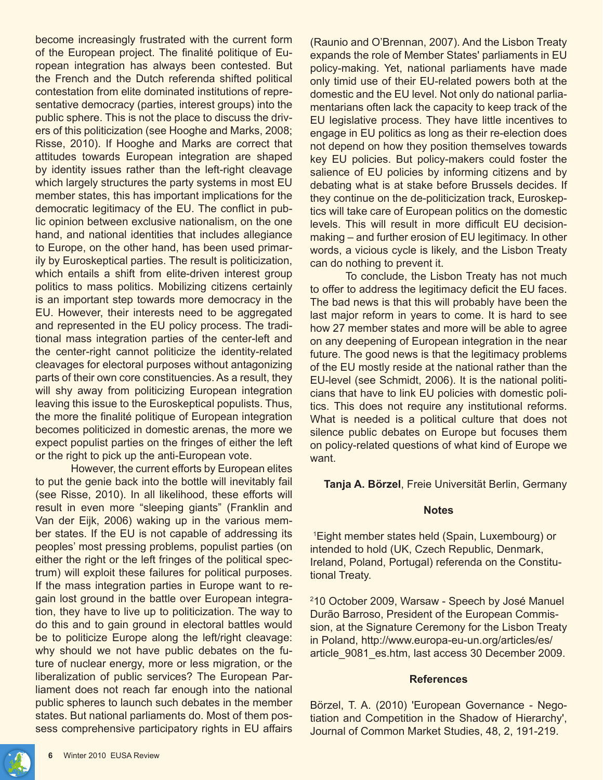become increasingly frustrated with the current form of the European project. The finalité politique of European integration has always been contested. But the French and the Dutch referenda shifted political contestation from elite dominated institutions of representative democracy (parties, interest groups) into the public sphere. This is not the place to discuss the drivers of this politicization (see Hooghe and Marks, 2008; Risse, 2010). If Hooghe and Marks are correct that attitudes towards European integration are shaped by identity issues rather than the left-right cleavage which largely structures the party systems in most EU member states, this has important implications for the democratic legitimacy of the EU. The conflict in public opinion between exclusive nationalism, on the one hand, and national identities that includes allegiance to Europe, on the other hand, has been used primarily by Euroskeptical parties. The result is politicization, which entails a shift from elite-driven interest group politics to mass politics. Mobilizing citizens certainly is an important step towards more democracy in the EU. However, their interests need to be aggregated and represented in the EU policy process. The traditional mass integration parties of the center-left and the center-right cannot politicize the identity-related cleavages for electoral purposes without antagonizing parts of their own core constituencies. As a result, they will shy away from politicizing European integration leaving this issue to the Euroskeptical populists. Thus, the more the finalité politique of European integration becomes politicized in domestic arenas, the more we expect populist parties on the fringes of either the left or the right to pick up the anti-European vote.

However, the current efforts by European elites to put the genie back into the bottle will inevitably fail (see Risse, 2010). In all likelihood, these efforts will result in even more "sleeping giants" (Franklin and Van der Eijk, 2006) waking up in the various member states. If the EU is not capable of addressing its peoples' most pressing problems, populist parties (on either the right or the left fringes of the political spectrum) will exploit these failures for political purposes. If the mass integration parties in Europe want to regain lost ground in the battle over European integration, they have to live up to politicization. The way to do this and to gain ground in electoral battles would be to politicize Europe along the left/right cleavage: why should we not have public debates on the future of nuclear energy, more or less migration, or the liberalization of public services? The European Parliament does not reach far enough into the national public spheres to launch such debates in the member states. But national parliaments do. Most of them possess comprehensive participatory rights in EU affairs

(Raunio and O'Brennan, 2007). And the Lisbon Treaty expands the role of Member States' parliaments in EU policy-making. Yet, national parliaments have made only timid use of their EU-related powers both at the domestic and the EU level. Not only do national parliamentarians often lack the capacity to keep track of the EU legislative process. They have little incentives to engage in EU politics as long as their re-election does not depend on how they position themselves towards key EU policies. But policy-makers could foster the salience of EU policies by informing citizens and by debating what is at stake before Brussels decides. If they continue on the de-politicization track, Euroskeptics will take care of European politics on the domestic levels. This will result in more difficult EU decisionmaking – and further erosion of EU legitimacy. In other words, a vicious cycle is likely, and the Lisbon Treaty can do nothing to prevent it.

To conclude, the Lisbon Treaty has not much to offer to address the legitimacy deficit the EU faces. The bad news is that this will probably have been the last major reform in years to come. It is hard to see how 27 member states and more will be able to agree on any deepening of European integration in the near future. The good news is that the legitimacy problems of the EU mostly reside at the national rather than the EU-level (see Schmidt, 2006). It is the national politicians that have to link EU policies with domestic politics. This does not require any institutional reforms. What is needed is a political culture that does not silence public debates on Europe but focuses them on policy-related questions of what kind of Europe we want.

**Tanja A. Börzel**, Freie Universität Berlin, Germany

#### **Notes**

1 Eight member states held (Spain, Luxembourg) or intended to hold (UK, Czech Republic, Denmark, Ireland, Poland, Portugal) referenda on the Constitutional Treaty.

2 10 October 2009, Warsaw - Speech by José Manuel Durão Barroso, President of the European Commission, at the Signature Ceremony for the Lisbon Treaty in Poland, http://www.europa-eu-un.org/articles/es/ article\_9081\_es.htm, last access 30 December 2009.

#### **References**

Börzel, T. A. (2010) 'European Governance - Negotiation and Competition in the Shadow of Hierarchy', Journal of Common Market Studies, 48, 2, 191-219.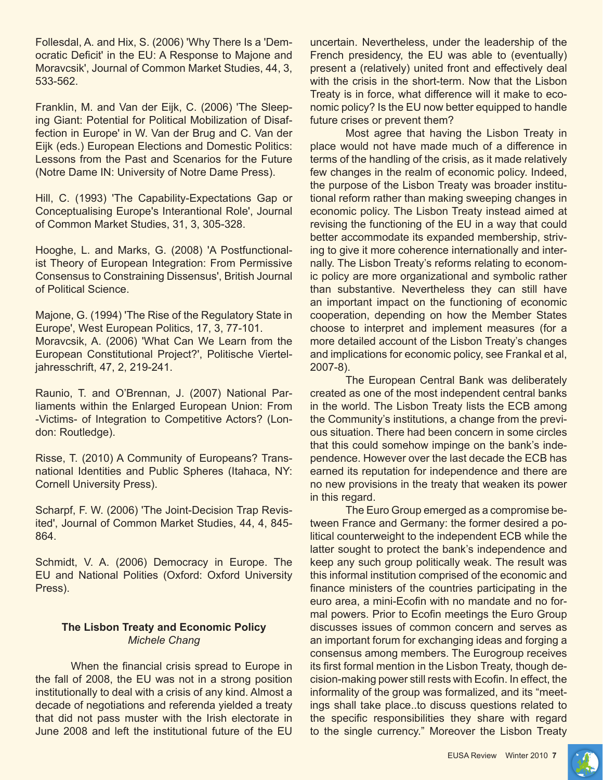Follesdal, A. and Hix, S. (2006) 'Why There Is a 'Democratic Deficit' in the EU: A Response to Majone and Moravcsik', Journal of Common Market Studies, 44, 3, 533-562.

Franklin, M. and Van der Eijk, C. (2006) 'The Sleeping Giant: Potential for Political Mobilization of Disaffection in Europe' in W. Van der Brug and C. Van der Eijk (eds.) European Elections and Domestic Politics: Lessons from the Past and Scenarios for the Future (Notre Dame IN: University of Notre Dame Press).

Hill, C. (1993) 'The Capability-Expectations Gap or Conceptualising Europe's Interantional Role', Journal of Common Market Studies, 31, 3, 305-328.

Hooghe, L. and Marks, G. (2008) 'A Postfunctionalist Theory of European Integration: From Permissive Consensus to Constraining Dissensus', British Journal of Political Science.

Majone, G. (1994) 'The Rise of the Regulatory State in Europe', West European Politics, 17, 3, 77-101. Moravcsik, A. (2006) 'What Can We Learn from the European Constitutional Project?', Politische Vierteljahresschrift, 47, 2, 219-241.

Raunio, T. and O'Brennan, J. (2007) National Parliaments within the Enlarged European Union: From -Victims- of Integration to Competitive Actors? (London: Routledge).

Risse, T. (2010) A Community of Europeans? Transnational Identities and Public Spheres (Itahaca, NY: Cornell University Press).

Scharpf, F. W. (2006) 'The Joint-Decision Trap Revisited', Journal of Common Market Studies, 44, 4, 845- 864.

Schmidt, V. A. (2006) Democracy in Europe. The EU and National Polities (Oxford: Oxford University Press).

# **The Lisbon Treaty and Economic Policy** *Michele Chang*

When the financial crisis spread to Europe in the fall of 2008, the EU was not in a strong position institutionally to deal with a crisis of any kind. Almost a decade of negotiations and referenda yielded a treaty that did not pass muster with the Irish electorate in June 2008 and left the institutional future of the EU uncertain. Nevertheless, under the leadership of the French presidency, the EU was able to (eventually) present a (relatively) united front and effectively deal with the crisis in the short-term. Now that the Lisbon Treaty is in force, what difference will it make to economic policy? Is the EU now better equipped to handle future crises or prevent them?

Most agree that having the Lisbon Treaty in place would not have made much of a difference in terms of the handling of the crisis, as it made relatively few changes in the realm of economic policy. Indeed, the purpose of the Lisbon Treaty was broader institutional reform rather than making sweeping changes in economic policy. The Lisbon Treaty instead aimed at revising the functioning of the EU in a way that could better accommodate its expanded membership, striving to give it more coherence internationally and internally. The Lisbon Treaty's reforms relating to economic policy are more organizational and symbolic rather than substantive. Nevertheless they can still have an important impact on the functioning of economic cooperation, depending on how the Member States choose to interpret and implement measures (for a more detailed account of the Lisbon Treaty's changes and implications for economic policy, see Frankal et al, 2007-8).

The European Central Bank was deliberately created as one of the most independent central banks in the world. The Lisbon Treaty lists the ECB among the Community's institutions, a change from the previous situation. There had been concern in some circles that this could somehow impinge on the bank's independence. However over the last decade the ECB has earned its reputation for independence and there are no new provisions in the treaty that weaken its power in this regard.

The Euro Group emerged as a compromise between France and Germany: the former desired a political counterweight to the independent ECB while the latter sought to protect the bank's independence and keep any such group politically weak. The result was this informal institution comprised of the economic and finance ministers of the countries participating in the euro area, a mini-Ecofin with no mandate and no formal powers. Prior to Ecofin meetings the Euro Group discusses issues of common concern and serves as an important forum for exchanging ideas and forging a consensus among members. The Eurogroup receives its first formal mention in the Lisbon Treaty, though decision-making power still rests with Ecofin. In effect, the informality of the group was formalized, and its "meetings shall take place..to discuss questions related to the specific responsibilities they share with regard to the single currency." Moreover the Lisbon Treaty

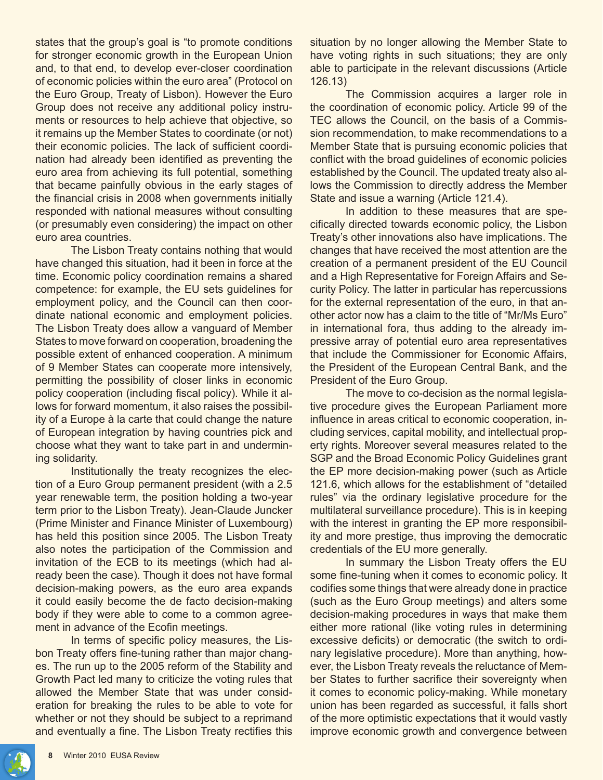states that the group's goal is "to promote conditions for stronger economic growth in the European Union and, to that end, to develop ever-closer coordination of economic policies within the euro area" (Protocol on the Euro Group, Treaty of Lisbon). However the Euro Group does not receive any additional policy instruments or resources to help achieve that objective, so it remains up the Member States to coordinate (or not) their economic policies. The lack of sufficient coordination had already been identified as preventing the euro area from achieving its full potential, something that became painfully obvious in the early stages of the financial crisis in 2008 when governments initially responded with national measures without consulting (or presumably even considering) the impact on other euro area countries.

The Lisbon Treaty contains nothing that would have changed this situation, had it been in force at the time. Economic policy coordination remains a shared competence: for example, the EU sets guidelines for employment policy, and the Council can then coordinate national economic and employment policies. The Lisbon Treaty does allow a vanguard of Member States to move forward on cooperation, broadening the possible extent of enhanced cooperation. A minimum of 9 Member States can cooperate more intensively, permitting the possibility of closer links in economic policy cooperation (including fiscal policy). While it allows for forward momentum, it also raises the possibility of a Europe à la carte that could change the nature of European integration by having countries pick and choose what they want to take part in and undermining solidarity.

Institutionally the treaty recognizes the election of a Euro Group permanent president (with a 2.5 year renewable term, the position holding a two-year term prior to the Lisbon Treaty). Jean-Claude Juncker (Prime Minister and Finance Minister of Luxembourg) has held this position since 2005. The Lisbon Treaty also notes the participation of the Commission and invitation of the ECB to its meetings (which had already been the case). Though it does not have formal decision-making powers, as the euro area expands it could easily become the de facto decision-making body if they were able to come to a common agreement in advance of the Ecofin meetings.

In terms of specific policy measures, the Lisbon Treaty offers fine-tuning rather than major changes. The run up to the 2005 reform of the Stability and Growth Pact led many to criticize the voting rules that allowed the Member State that was under consideration for breaking the rules to be able to vote for whether or not they should be subject to a reprimand and eventually a fine. The Lisbon Treaty rectifies this

situation by no longer allowing the Member State to have voting rights in such situations; they are only able to participate in the relevant discussions (Article 126.13)

The Commission acquires a larger role in the coordination of economic policy. Article 99 of the TEC allows the Council, on the basis of a Commission recommendation, to make recommendations to a Member State that is pursuing economic policies that conflict with the broad guidelines of economic policies established by the Council. The updated treaty also allows the Commission to directly address the Member State and issue a warning (Article 121.4).

In addition to these measures that are specifically directed towards economic policy, the Lisbon Treaty's other innovations also have implications. The changes that have received the most attention are the creation of a permanent president of the EU Council and a High Representative for Foreign Affairs and Security Policy. The latter in particular has repercussions for the external representation of the euro, in that another actor now has a claim to the title of "Mr/Ms Euro" in international fora, thus adding to the already impressive array of potential euro area representatives that include the Commissioner for Economic Affairs, the President of the European Central Bank, and the President of the Euro Group.

The move to co-decision as the normal legislative procedure gives the European Parliament more influence in areas critical to economic cooperation, including services, capital mobility, and intellectual property rights. Moreover several measures related to the SGP and the Broad Economic Policy Guidelines grant the EP more decision-making power (such as Article 121.6, which allows for the establishment of "detailed rules" via the ordinary legislative procedure for the multilateral surveillance procedure). This is in keeping with the interest in granting the EP more responsibility and more prestige, thus improving the democratic credentials of the EU more generally.

In summary the Lisbon Treaty offers the EU some fine-tuning when it comes to economic policy. It codifies some things that were already done in practice (such as the Euro Group meetings) and alters some decision-making procedures in ways that make them either more rational (like voting rules in determining excessive deficits) or democratic (the switch to ordinary legislative procedure). More than anything, however, the Lisbon Treaty reveals the reluctance of Member States to further sacrifice their sovereignty when it comes to economic policy-making. While monetary union has been regarded as successful, it falls short of the more optimistic expectations that it would vastly improve economic growth and convergence between

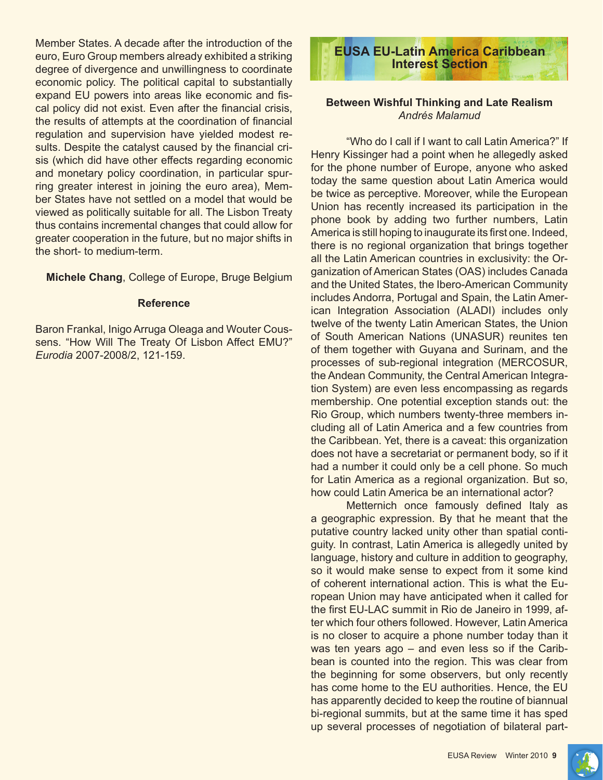Member States. A decade after the introduction of the euro, Euro Group members already exhibited a striking degree of divergence and unwillingness to coordinate economic policy. The political capital to substantially expand EU powers into areas like economic and fiscal policy did not exist. Even after the financial crisis, the results of attempts at the coordination of financial regulation and supervision have yielded modest results. Despite the catalyst caused by the financial crisis (which did have other effects regarding economic and monetary policy coordination, in particular spurring greater interest in joining the euro area), Member States have not settled on a model that would be viewed as politically suitable for all. The Lisbon Treaty thus contains incremental changes that could allow for greater cooperation in the future, but no major shifts in the short- to medium-term.

**Michele Chang**, College of Europe, Bruge Belgium

#### **Reference**

Baron Frankal, Inigo Arruga Oleaga and Wouter Coussens. "How Will The Treaty Of Lisbon Affect EMU?" *Eurodia* 2007-2008/2, 121-159.



# **Between Wishful Thinking and Late Realism** *Andrés Malamud*

"Who do I call if I want to call Latin America?" If Henry Kissinger had a point when he allegedly asked for the phone number of Europe, anyone who asked today the same question about Latin America would be twice as perceptive. Moreover, while the European Union has recently increased its participation in the phone book by adding two further numbers, Latin America is still hoping to inaugurate its first one. Indeed, there is no regional organization that brings together all the Latin American countries in exclusivity: the Organization of American States (OAS) includes Canada and the United States, the Ibero-American Community includes Andorra, Portugal and Spain, the Latin American Integration Association (ALADI) includes only twelve of the twenty Latin American States, the Union of South American Nations (UNASUR) reunites ten of them together with Guyana and Surinam, and the processes of sub-regional integration (MERCOSUR, the Andean Community, the Central American Integration System) are even less encompassing as regards membership. One potential exception stands out: the Rio Group, which numbers twenty-three members including all of Latin America and a few countries from the Caribbean. Yet, there is a caveat: this organization does not have a secretariat or permanent body, so if it had a number it could only be a cell phone. So much for Latin America as a regional organization. But so, how could Latin America be an international actor?

Metternich once famously defined Italy as a geographic expression. By that he meant that the putative country lacked unity other than spatial contiguity. In contrast, Latin America is allegedly united by language, history and culture in addition to geography, so it would make sense to expect from it some kind of coherent international action. This is what the European Union may have anticipated when it called for the first EU-LAC summit in Rio de Janeiro in 1999, after which four others followed. However, Latin America is no closer to acquire a phone number today than it was ten years ago – and even less so if the Caribbean is counted into the region. This was clear from the beginning for some observers, but only recently has come home to the EU authorities. Hence, the EU has apparently decided to keep the routine of biannual bi-regional summits, but at the same time it has sped up several processes of negotiation of bilateral part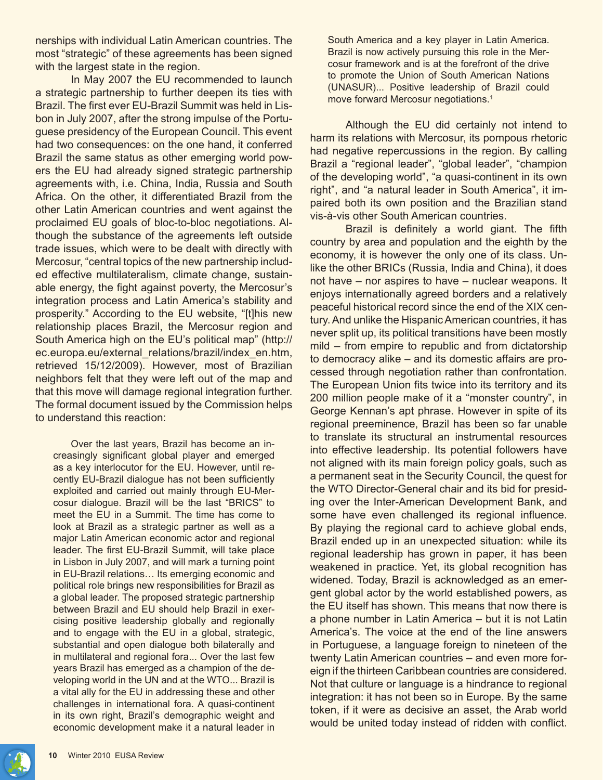nerships with individual Latin American countries. The most "strategic" of these agreements has been signed with the largest state in the region.

In May 2007 the EU recommended to launch a strategic partnership to further deepen its ties with Brazil. The first ever EU-Brazil Summit was held in Lisbon in July 2007, after the strong impulse of the Portuguese presidency of the European Council. This event had two consequences: on the one hand, it conferred Brazil the same status as other emerging world powers the EU had already signed strategic partnership agreements with, i.e. China, India, Russia and South Africa. On the other, it differentiated Brazil from the other Latin American countries and went against the proclaimed EU goals of bloc-to-bloc negotiations. Although the substance of the agreements left outside trade issues, which were to be dealt with directly with Mercosur, "central topics of the new partnership included effective multilateralism, climate change, sustainable energy, the fight against poverty, the Mercosur's integration process and Latin America's stability and prosperity." According to the EU website, "[t]his new relationship places Brazil, the Mercosur region and South America high on the EU's political map" (http:// ec.europa.eu/external\_relations/brazil/index\_en.htm, retrieved 15/12/2009). However, most of Brazilian neighbors felt that they were left out of the map and that this move will damage regional integration further. The formal document issued by the Commission helps to understand this reaction:

Over the last years, Brazil has become an increasingly significant global player and emerged as a key interlocutor for the EU. However, until recently EU-Brazil dialogue has not been sufficiently exploited and carried out mainly through EU-Mercosur dialogue. Brazil will be the last "BRICS" to meet the EU in a Summit. The time has come to look at Brazil as a strategic partner as well as a major Latin American economic actor and regional leader. The first EU-Brazil Summit, will take place in Lisbon in July 2007, and will mark a turning point in EU-Brazil relations… Its emerging economic and political role brings new responsibilities for Brazil as a global leader. The proposed strategic partnership between Brazil and EU should help Brazil in exercising positive leadership globally and regionally and to engage with the EU in a global, strategic, substantial and open dialogue both bilaterally and in multilateral and regional fora... Over the last few years Brazil has emerged as a champion of the developing world in the UN and at the WTO... Brazil is a vital ally for the EU in addressing these and other challenges in international fora. A quasi-continent in its own right, Brazil's demographic weight and economic development make it a natural leader in

South America and a key player in Latin America. Brazil is now actively pursuing this role in the Mercosur framework and is at the forefront of the drive to promote the Union of South American Nations (UNASUR)... Positive leadership of Brazil could move forward Mercosur negotiations.<sup>1</sup>

Although the EU did certainly not intend to harm its relations with Mercosur, its pompous rhetoric had negative repercussions in the region. By calling Brazil a "regional leader", "global leader", "champion of the developing world", "a quasi-continent in its own right", and "a natural leader in South America", it impaired both its own position and the Brazilian stand vis-à-vis other South American countries.

Brazil is definitely a world giant. The fifth country by area and population and the eighth by the economy, it is however the only one of its class. Unlike the other BRICs (Russia, India and China), it does not have – nor aspires to have – nuclear weapons. It enjoys internationally agreed borders and a relatively peaceful historical record since the end of the XIX century. And unlike the Hispanic American countries, it has never split up, its political transitions have been mostly mild – from empire to republic and from dictatorship to democracy alike – and its domestic affairs are processed through negotiation rather than confrontation. The European Union fits twice into its territory and its 200 million people make of it a "monster country", in George Kennan's apt phrase. However in spite of its regional preeminence, Brazil has been so far unable to translate its structural an instrumental resources into effective leadership. Its potential followers have not aligned with its main foreign policy goals, such as a permanent seat in the Security Council, the quest for the WTO Director-General chair and its bid for presiding over the Inter-American Development Bank, and some have even challenged its regional influence. By playing the regional card to achieve global ends, Brazil ended up in an unexpected situation: while its regional leadership has grown in paper, it has been weakened in practice. Yet, its global recognition has widened. Today, Brazil is acknowledged as an emergent global actor by the world established powers, as the EU itself has shown. This means that now there is a phone number in Latin America – but it is not Latin America's. The voice at the end of the line answers in Portuguese, a language foreign to nineteen of the twenty Latin American countries – and even more foreign if the thirteen Caribbean countries are considered. Not that culture or language is a hindrance to regional integration: it has not been so in Europe. By the same token, if it were as decisive an asset, the Arab world would be united today instead of ridden with conflict.

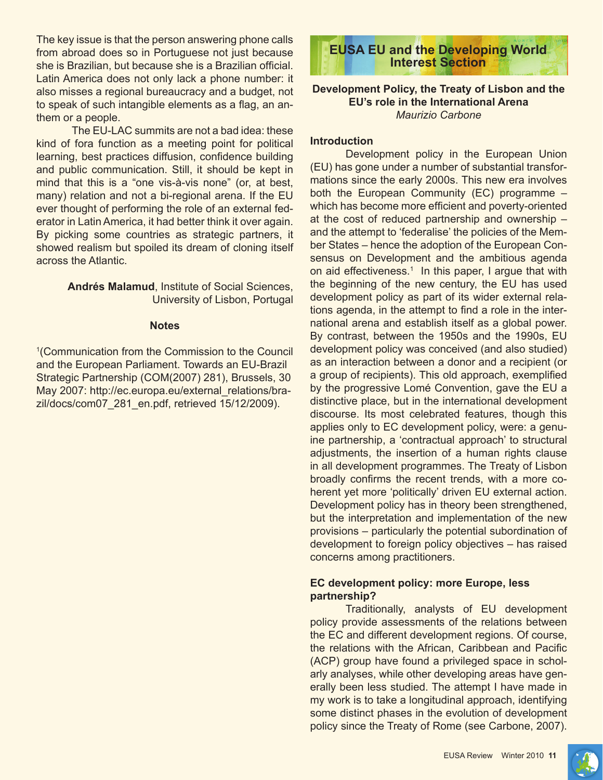The key issue is that the person answering phone calls from abroad does so in Portuguese not just because she is Brazilian, but because she is a Brazilian official. Latin America does not only lack a phone number: it also misses a regional bureaucracy and a budget, not to speak of such intangible elements as a flag, an anthem or a people.

The EU-LAC summits are not a bad idea: these kind of fora function as a meeting point for political learning, best practices diffusion, confidence building and public communication. Still, it should be kept in mind that this is a "one vis-à-vis none" (or, at best, many) relation and not a bi-regional arena. If the EU ever thought of performing the role of an external federator in Latin America, it had better think it over again. By picking some countries as strategic partners, it showed realism but spoiled its dream of cloning itself across the Atlantic.

> **Andrés Malamud**, Institute of Social Sciences, University of Lisbon, Portugal

#### **Notes**

1 (Communication from the Commission to the Council and the European Parliament. Towards an EU-Brazil Strategic Partnership (COM(2007) 281), Brussels, 30 May 2007: http://ec.europa.eu/external\_relations/brazil/docs/com07\_281\_en.pdf, retrieved 15/12/2009).

**EUSA EU and the Developing World Interest Section**

# **Development Policy, the Treaty of Lisbon and the EU's role in the International Arena**  *Maurizio Carbone*

#### **Introduction**

Development policy in the European Union (EU) has gone under a number of substantial transformations since the early 2000s. This new era involves both the European Community (EC) programme – which has become more efficient and poverty-oriented at the cost of reduced partnership and ownership – and the attempt to 'federalise' the policies of the Member States – hence the adoption of the European Consensus on Development and the ambitious agenda on aid effectiveness.<sup>1</sup> In this paper, I argue that with the beginning of the new century, the EU has used development policy as part of its wider external relations agenda, in the attempt to find a role in the international arena and establish itself as a global power. By contrast, between the 1950s and the 1990s, EU development policy was conceived (and also studied) as an interaction between a donor and a recipient (or a group of recipients). This old approach, exemplified by the progressive Lomé Convention, gave the EU a distinctive place, but in the international development discourse. Its most celebrated features, though this applies only to EC development policy, were: a genuine partnership, a 'contractual approach' to structural adjustments, the insertion of a human rights clause in all development programmes. The Treaty of Lisbon broadly confirms the recent trends, with a more coherent yet more 'politically' driven EU external action. Development policy has in theory been strengthened, but the interpretation and implementation of the new provisions – particularly the potential subordination of development to foreign policy objectives – has raised concerns among practitioners.

# **EC development policy: more Europe, less partnership?**

Traditionally, analysts of EU development policy provide assessments of the relations between the EC and different development regions. Of course, the relations with the African, Caribbean and Pacific (ACP) group have found a privileged space in scholarly analyses, while other developing areas have generally been less studied. The attempt I have made in my work is to take a longitudinal approach, identifying some distinct phases in the evolution of development policy since the Treaty of Rome (see Carbone, 2007).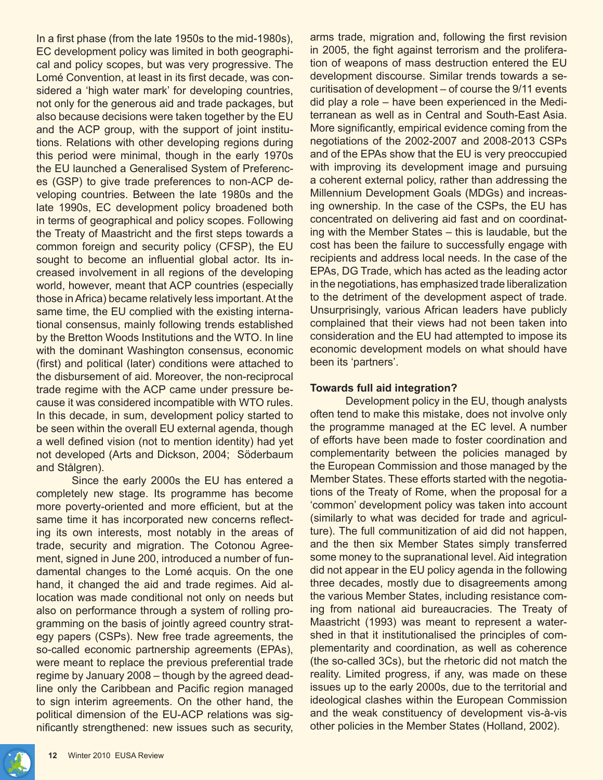In a first phase (from the late 1950s to the mid-1980s), EC development policy was limited in both geographical and policy scopes, but was very progressive. The Lomé Convention, at least in its first decade, was considered a 'high water mark' for developing countries, not only for the generous aid and trade packages, but also because decisions were taken together by the EU and the ACP group, with the support of joint institutions. Relations with other developing regions during this period were minimal, though in the early 1970s the EU launched a Generalised System of Preferences (GSP) to give trade preferences to non-ACP developing countries. Between the late 1980s and the late 1990s, EC development policy broadened both in terms of geographical and policy scopes. Following the Treaty of Maastricht and the first steps towards a common foreign and security policy (CFSP), the EU sought to become an influential global actor. Its increased involvement in all regions of the developing world, however, meant that ACP countries (especially those in Africa) became relatively less important. At the same time, the EU complied with the existing international consensus, mainly following trends established by the Bretton Woods Institutions and the WTO. In line with the dominant Washington consensus, economic (first) and political (later) conditions were attached to the disbursement of aid. Moreover, the non-reciprocal trade regime with the ACP came under pressure because it was considered incompatible with WTO rules. In this decade, in sum, development policy started to be seen within the overall EU external agenda, though a well defined vision (not to mention identity) had yet not developed (Arts and Dickson, 2004; Söderbaum and Stålgren).

Since the early 2000s the EU has entered a completely new stage. Its programme has become more poverty-oriented and more efficient, but at the same time it has incorporated new concerns reflecting its own interests, most notably in the areas of trade, security and migration. The Cotonou Agreement, signed in June 200, introduced a number of fundamental changes to the Lomé acquis. On the one hand, it changed the aid and trade regimes. Aid allocation was made conditional not only on needs but also on performance through a system of rolling programming on the basis of jointly agreed country strategy papers (CSPs). New free trade agreements, the so-called economic partnership agreements (EPAs), were meant to replace the previous preferential trade regime by January 2008 – though by the agreed deadline only the Caribbean and Pacific region managed to sign interim agreements. On the other hand, the political dimension of the EU-ACP relations was significantly strengthened: new issues such as security, arms trade, migration and, following the first revision in 2005, the fight against terrorism and the proliferation of weapons of mass destruction entered the EU development discourse. Similar trends towards a securitisation of development – of course the 9/11 events did play a role – have been experienced in the Mediterranean as well as in Central and South-East Asia. More significantly, empirical evidence coming from the negotiations of the 2002-2007 and 2008-2013 CSPs and of the EPAs show that the EU is very preoccupied with improving its development image and pursuing a coherent external policy, rather than addressing the Millennium Development Goals (MDGs) and increasing ownership. In the case of the CSPs, the EU has concentrated on delivering aid fast and on coordinating with the Member States – this is laudable, but the cost has been the failure to successfully engage with recipients and address local needs. In the case of the EPAs, DG Trade, which has acted as the leading actor in the negotiations, has emphasized trade liberalization to the detriment of the development aspect of trade. Unsurprisingly, various African leaders have publicly complained that their views had not been taken into consideration and the EU had attempted to impose its economic development models on what should have been its 'partners'.

# **Towards full aid integration?**

Development policy in the EU, though analysts often tend to make this mistake, does not involve only the programme managed at the EC level. A number of efforts have been made to foster coordination and complementarity between the policies managed by the European Commission and those managed by the Member States. These efforts started with the negotiations of the Treaty of Rome, when the proposal for a 'common' development policy was taken into account (similarly to what was decided for trade and agriculture). The full communitization of aid did not happen, and the then six Member States simply transferred some money to the supranational level. Aid integration did not appear in the EU policy agenda in the following three decades, mostly due to disagreements among the various Member States, including resistance coming from national aid bureaucracies. The Treaty of Maastricht (1993) was meant to represent a watershed in that it institutionalised the principles of complementarity and coordination, as well as coherence (the so-called 3Cs), but the rhetoric did not match the reality. Limited progress, if any, was made on these issues up to the early 2000s, due to the territorial and ideological clashes within the European Commission and the weak constituency of development vis-à-vis other policies in the Member States (Holland, 2002).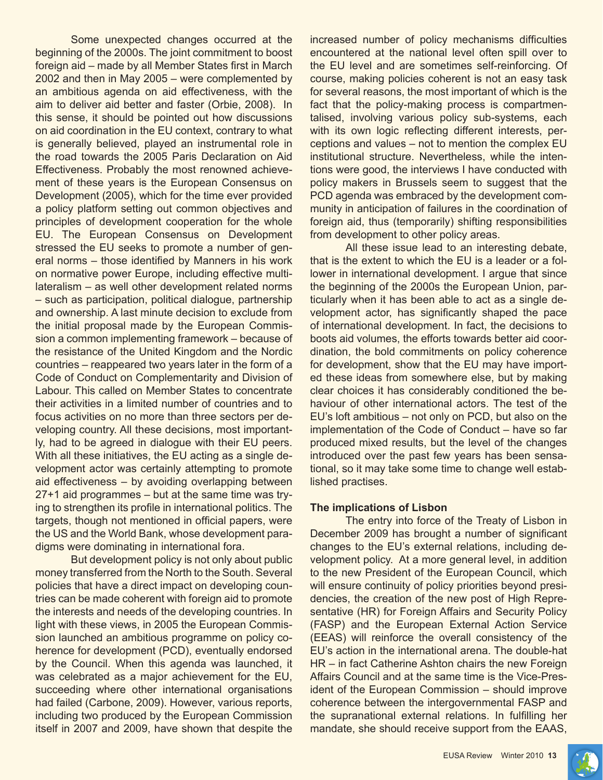Some unexpected changes occurred at the beginning of the 2000s. The joint commitment to boost foreign aid – made by all Member States first in March 2002 and then in May 2005 – were complemented by an ambitious agenda on aid effectiveness, with the aim to deliver aid better and faster (Orbie, 2008). In this sense, it should be pointed out how discussions on aid coordination in the EU context, contrary to what is generally believed, played an instrumental role in the road towards the 2005 Paris Declaration on Aid Effectiveness. Probably the most renowned achievement of these years is the European Consensus on Development (2005), which for the time ever provided a policy platform setting out common objectives and principles of development cooperation for the whole EU. The European Consensus on Development stressed the EU seeks to promote a number of general norms – those identified by Manners in his work on normative power Europe, including effective multilateralism – as well other development related norms – such as participation, political dialogue, partnership and ownership. A last minute decision to exclude from the initial proposal made by the European Commission a common implementing framework – because of the resistance of the United Kingdom and the Nordic countries – reappeared two years later in the form of a Code of Conduct on Complementarity and Division of Labour. This called on Member States to concentrate their activities in a limited number of countries and to focus activities on no more than three sectors per developing country. All these decisions, most importantly, had to be agreed in dialogue with their EU peers. With all these initiatives, the EU acting as a single development actor was certainly attempting to promote aid effectiveness – by avoiding overlapping between 27+1 aid programmes – but at the same time was trying to strengthen its profile in international politics. The targets, though not mentioned in official papers, were the US and the World Bank, whose development paradigms were dominating in international fora.

But development policy is not only about public money transferred from the North to the South. Several policies that have a direct impact on developing countries can be made coherent with foreign aid to promote the interests and needs of the developing countries. In light with these views, in 2005 the European Commission launched an ambitious programme on policy coherence for development (PCD), eventually endorsed by the Council. When this agenda was launched, it was celebrated as a major achievement for the EU, succeeding where other international organisations had failed (Carbone, 2009). However, various reports, including two produced by the European Commission itself in 2007 and 2009, have shown that despite the

increased number of policy mechanisms difficulties encountered at the national level often spill over to the EU level and are sometimes self-reinforcing. Of course, making policies coherent is not an easy task for several reasons, the most important of which is the fact that the policy-making process is compartmentalised, involving various policy sub-systems, each with its own logic reflecting different interests, perceptions and values – not to mention the complex EU institutional structure. Nevertheless, while the intentions were good, the interviews I have conducted with policy makers in Brussels seem to suggest that the PCD agenda was embraced by the development community in anticipation of failures in the coordination of foreign aid, thus (temporarily) shifting responsibilities from development to other policy areas.

All these issue lead to an interesting debate, that is the extent to which the EU is a leader or a follower in international development. I argue that since the beginning of the 2000s the European Union, particularly when it has been able to act as a single development actor, has significantly shaped the pace of international development. In fact, the decisions to boots aid volumes, the efforts towards better aid coordination, the bold commitments on policy coherence for development, show that the EU may have imported these ideas from somewhere else, but by making clear choices it has considerably conditioned the behaviour of other international actors. The test of the EU's loft ambitious – not only on PCD, but also on the implementation of the Code of Conduct – have so far produced mixed results, but the level of the changes introduced over the past few years has been sensational, so it may take some time to change well established practises.

#### **The implications of Lisbon**

The entry into force of the Treaty of Lisbon in December 2009 has brought a number of significant changes to the EU's external relations, including development policy. At a more general level, in addition to the new President of the European Council, which will ensure continuity of policy priorities beyond presidencies, the creation of the new post of High Representative (HR) for Foreign Affairs and Security Policy (FASP) and the European External Action Service (EEAS) will reinforce the overall consistency of the EU's action in the international arena. The double-hat HR – in fact Catherine Ashton chairs the new Foreign Affairs Council and at the same time is the Vice-President of the European Commission – should improve coherence between the intergovernmental FASP and the supranational external relations. In fulfilling her mandate, she should receive support from the EAAS,

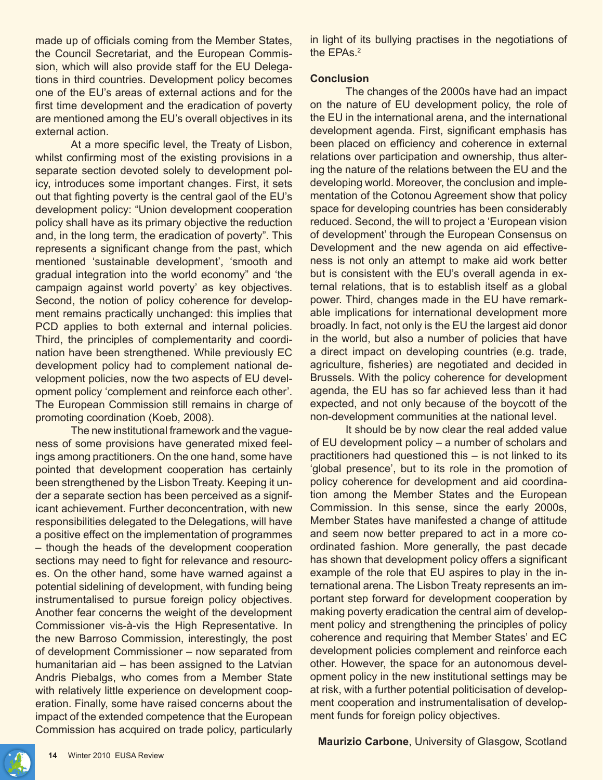made up of officials coming from the Member States, the Council Secretariat, and the European Commission, which will also provide staff for the EU Delegations in third countries. Development policy becomes one of the EU's areas of external actions and for the first time development and the eradication of poverty are mentioned among the EU's overall objectives in its external action.

At a more specific level, the Treaty of Lisbon, whilst confirming most of the existing provisions in a separate section devoted solely to development policy, introduces some important changes. First, it sets out that fighting poverty is the central gaol of the EU's development policy: "Union development cooperation policy shall have as its primary objective the reduction and, in the long term, the eradication of poverty". This represents a significant change from the past, which mentioned 'sustainable development', 'smooth and gradual integration into the world economy" and 'the campaign against world poverty' as key objectives. Second, the notion of policy coherence for development remains practically unchanged: this implies that PCD applies to both external and internal policies. Third, the principles of complementarity and coordination have been strengthened. While previously EC development policy had to complement national development policies, now the two aspects of EU development policy 'complement and reinforce each other'. The European Commission still remains in charge of promoting coordination (Koeb, 2008).

The new institutional framework and the vagueness of some provisions have generated mixed feelings among practitioners. On the one hand, some have pointed that development cooperation has certainly been strengthened by the Lisbon Treaty. Keeping it under a separate section has been perceived as a significant achievement. Further deconcentration, with new responsibilities delegated to the Delegations, will have a positive effect on the implementation of programmes – though the heads of the development cooperation sections may need to fight for relevance and resources. On the other hand, some have warned against a potential sidelining of development, with funding being instrumentalised to pursue foreign policy objectives. Another fear concerns the weight of the development Commissioner vis-à-vis the High Representative. In the new Barroso Commission, interestingly, the post of development Commissioner – now separated from humanitarian aid – has been assigned to the Latvian Andris Piebalgs, who comes from a Member State with relatively little experience on development cooperation. Finally, some have raised concerns about the impact of the extended competence that the European Commission has acquired on trade policy, particularly

in light of its bullying practises in the negotiations of the EPAs.<sup>2</sup>

#### **Conclusion**

The changes of the 2000s have had an impact on the nature of EU development policy, the role of the EU in the international arena, and the international development agenda. First, significant emphasis has been placed on efficiency and coherence in external relations over participation and ownership, thus altering the nature of the relations between the EU and the developing world. Moreover, the conclusion and implementation of the Cotonou Agreement show that policy space for developing countries has been considerably reduced. Second, the will to project a 'European vision of development' through the European Consensus on Development and the new agenda on aid effectiveness is not only an attempt to make aid work better but is consistent with the EU's overall agenda in external relations, that is to establish itself as a global power. Third, changes made in the EU have remarkable implications for international development more broadly. In fact, not only is the EU the largest aid donor in the world, but also a number of policies that have a direct impact on developing countries (e.g. trade, agriculture, fisheries) are negotiated and decided in Brussels. With the policy coherence for development agenda, the EU has so far achieved less than it had expected, and not only because of the boycott of the non-development communities at the national level.

It should be by now clear the real added value of EU development policy – a number of scholars and practitioners had questioned this – is not linked to its 'global presence', but to its role in the promotion of policy coherence for development and aid coordination among the Member States and the European Commission. In this sense, since the early 2000s, Member States have manifested a change of attitude and seem now better prepared to act in a more coordinated fashion. More generally, the past decade has shown that development policy offers a significant example of the role that EU aspires to play in the international arena. The Lisbon Treaty represents an important step forward for development cooperation by making poverty eradication the central aim of development policy and strengthening the principles of policy coherence and requiring that Member States' and EC development policies complement and reinforce each other. However, the space for an autonomous development policy in the new institutional settings may be at risk, with a further potential politicisation of development cooperation and instrumentalisation of development funds for foreign policy objectives.

**Maurizio Carbone**, University of Glasgow, Scotland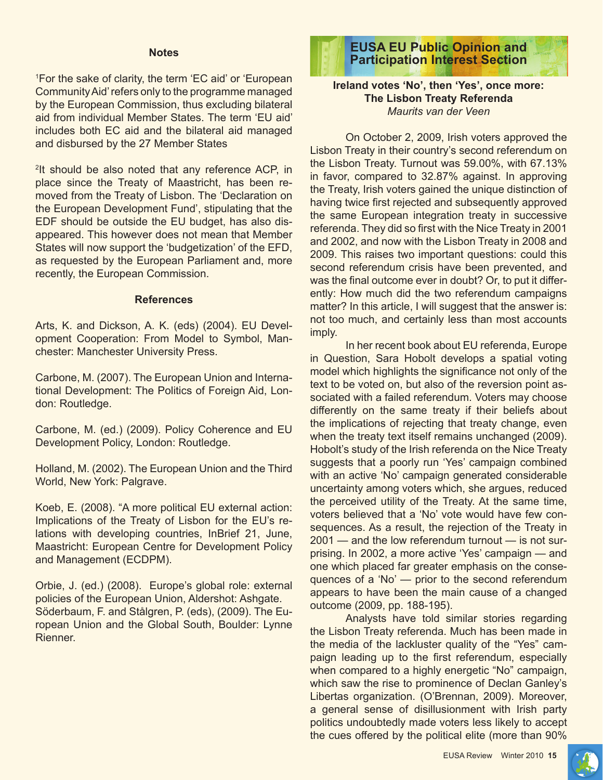#### **Notes**

1 For the sake of clarity, the term 'EC aid' or 'European Community Aid' refers only to the programme managed by the European Commission, thus excluding bilateral aid from individual Member States. The term 'EU aid' includes both EC aid and the bilateral aid managed and disbursed by the 27 Member States

2 It should be also noted that any reference ACP, in place since the Treaty of Maastricht, has been removed from the Treaty of Lisbon. The 'Declaration on the European Development Fund', stipulating that the EDF should be outside the EU budget, has also disappeared. This however does not mean that Member States will now support the 'budgetization' of the EFD, as requested by the European Parliament and, more recently, the European Commission.

#### **References**

Arts, K. and Dickson, A. K. (eds) (2004). EU Development Cooperation: From Model to Symbol, Manchester: Manchester University Press.

Carbone, M. (2007). The European Union and International Development: The Politics of Foreign Aid, London: Routledge.

Carbone, M. (ed.) (2009). Policy Coherence and EU Development Policy, London: Routledge.

Holland, M. (2002). The European Union and the Third World, New York: Palgrave.

Koeb, E. (2008). "A more political EU external action: Implications of the Treaty of Lisbon for the EU's relations with developing countries, InBrief 21, June, Maastricht: European Centre for Development Policy and Management (ECDPM).

Orbie, J. (ed.) (2008). Europe's global role: external policies of the European Union, Aldershot: Ashgate. Söderbaum, F. and Stålgren, P. (eds), (2009). The European Union and the Global South, Boulder: Lynne Rienner.



#### **Ireland votes 'No', then 'Yes', once more: The Lisbon Treaty Referenda**  *Maurits van der Veen*

On October 2, 2009, Irish voters approved the Lisbon Treaty in their country's second referendum on the Lisbon Treaty. Turnout was 59.00%, with 67.13% in favor, compared to 32.87% against. In approving the Treaty, Irish voters gained the unique distinction of having twice first rejected and subsequently approved the same European integration treaty in successive referenda. They did so first with the Nice Treaty in 2001 and 2002, and now with the Lisbon Treaty in 2008 and 2009. This raises two important questions: could this second referendum crisis have been prevented, and was the final outcome ever in doubt? Or, to put it differently: How much did the two referendum campaigns matter? In this article, I will suggest that the answer is: not too much, and certainly less than most accounts imply.

In her recent book about EU referenda, Europe in Question, Sara Hobolt develops a spatial voting model which highlights the significance not only of the text to be voted on, but also of the reversion point associated with a failed referendum. Voters may choose differently on the same treaty if their beliefs about the implications of rejecting that treaty change, even when the treaty text itself remains unchanged (2009). Hobolt's study of the Irish referenda on the Nice Treaty suggests that a poorly run 'Yes' campaign combined with an active 'No' campaign generated considerable uncertainty among voters which, she argues, reduced the perceived utility of the Treaty. At the same time, voters believed that a 'No' vote would have few consequences. As a result, the rejection of the Treaty in 2001 — and the low referendum turnout — is not surprising. In 2002, a more active 'Yes' campaign — and one which placed far greater emphasis on the consequences of a 'No' — prior to the second referendum appears to have been the main cause of a changed outcome (2009, pp. 188-195).

Analysts have told similar stories regarding the Lisbon Treaty referenda. Much has been made in the media of the lackluster quality of the "Yes" campaign leading up to the first referendum, especially when compared to a highly energetic "No" campaign, which saw the rise to prominence of Declan Ganley's Libertas organization. (O'Brennan, 2009). Moreover, a general sense of disillusionment with Irish party politics undoubtedly made voters less likely to accept the cues offered by the political elite (more than 90%

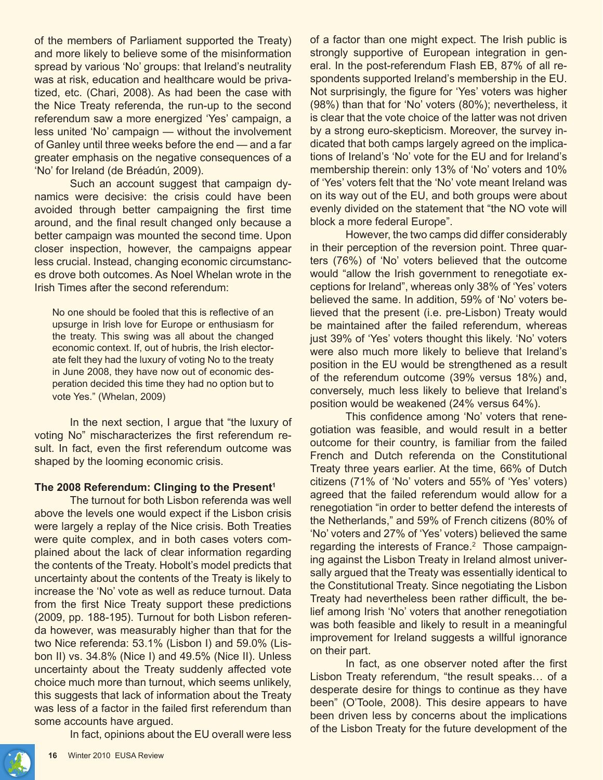of the members of Parliament supported the Treaty) and more likely to believe some of the misinformation spread by various 'No' groups: that Ireland's neutrality was at risk, education and healthcare would be privatized, etc. (Chari, 2008). As had been the case with the Nice Treaty referenda, the run-up to the second referendum saw a more energized 'Yes' campaign, a less united 'No' campaign — without the involvement of Ganley until three weeks before the end — and a far greater emphasis on the negative consequences of a 'No' for Ireland (de Bréadún, 2009).

Such an account suggest that campaign dynamics were decisive: the crisis could have been avoided through better campaigning the first time around, and the final result changed only because a better campaign was mounted the second time. Upon closer inspection, however, the campaigns appear less crucial. Instead, changing economic circumstances drove both outcomes. As Noel Whelan wrote in the Irish Times after the second referendum:

No one should be fooled that this is reflective of an upsurge in Irish love for Europe or enthusiasm for the treaty. This swing was all about the changed economic context. If, out of hubris, the Irish electorate felt they had the luxury of voting No to the treaty in June 2008, they have now out of economic desperation decided this time they had no option but to vote Yes." (Whelan, 2009)

In the next section, I argue that "the luxury of voting No" mischaracterizes the first referendum result. In fact, even the first referendum outcome was shaped by the looming economic crisis.

# **The 2008 Referendum: Clinging to the Present1**

The turnout for both Lisbon referenda was well above the levels one would expect if the Lisbon crisis were largely a replay of the Nice crisis. Both Treaties were quite complex, and in both cases voters complained about the lack of clear information regarding the contents of the Treaty. Hobolt's model predicts that uncertainty about the contents of the Treaty is likely to increase the 'No' vote as well as reduce turnout. Data from the first Nice Treaty support these predictions (2009, pp. 188-195). Turnout for both Lisbon referenda however, was measurably higher than that for the two Nice referenda: 53.1% (Lisbon I) and 59.0% (Lisbon II) vs. 34.8% (Nice I) and 49.5% (Nice II). Unless uncertainty about the Treaty suddenly affected vote choice much more than turnout, which seems unlikely, this suggests that lack of information about the Treaty was less of a factor in the failed first referendum than some accounts have argued.

In fact, opinions about the EU overall were less

of a factor than one might expect. The Irish public is strongly supportive of European integration in general. In the post-referendum Flash EB, 87% of all respondents supported Ireland's membership in the EU. Not surprisingly, the figure for 'Yes' voters was higher (98%) than that for 'No' voters (80%); nevertheless, it is clear that the vote choice of the latter was not driven by a strong euro-skepticism. Moreover, the survey indicated that both camps largely agreed on the implications of Ireland's 'No' vote for the EU and for Ireland's membership therein: only 13% of 'No' voters and 10% of 'Yes' voters felt that the 'No' vote meant Ireland was on its way out of the EU, and both groups were about evenly divided on the statement that "the NO vote will block a more federal Europe".

However, the two camps did differ considerably in their perception of the reversion point. Three quarters (76%) of 'No' voters believed that the outcome would "allow the Irish government to renegotiate exceptions for Ireland", whereas only 38% of 'Yes' voters believed the same. In addition, 59% of 'No' voters believed that the present (i.e. pre-Lisbon) Treaty would be maintained after the failed referendum, whereas just 39% of 'Yes' voters thought this likely. 'No' voters were also much more likely to believe that Ireland's position in the EU would be strengthened as a result of the referendum outcome (39% versus 18%) and, conversely, much less likely to believe that Ireland's position would be weakened (24% versus 64%).

This confidence among 'No' voters that renegotiation was feasible, and would result in a better outcome for their country, is familiar from the failed French and Dutch referenda on the Constitutional Treaty three years earlier. At the time, 66% of Dutch citizens (71% of 'No' voters and 55% of 'Yes' voters) agreed that the failed referendum would allow for a renegotiation "in order to better defend the interests of the Netherlands," and 59% of French citizens (80% of 'No' voters and 27% of 'Yes' voters) believed the same regarding the interests of France.<sup>2</sup> Those campaigning against the Lisbon Treaty in Ireland almost universally argued that the Treaty was essentially identical to the Constitutional Treaty. Since negotiating the Lisbon Treaty had nevertheless been rather difficult, the belief among Irish 'No' voters that another renegotiation was both feasible and likely to result in a meaningful improvement for Ireland suggests a willful ignorance on their part.

In fact, as one observer noted after the first Lisbon Treaty referendum, "the result speaks… of a desperate desire for things to continue as they have been" (O'Toole, 2008). This desire appears to have been driven less by concerns about the implications of the Lisbon Treaty for the future development of the

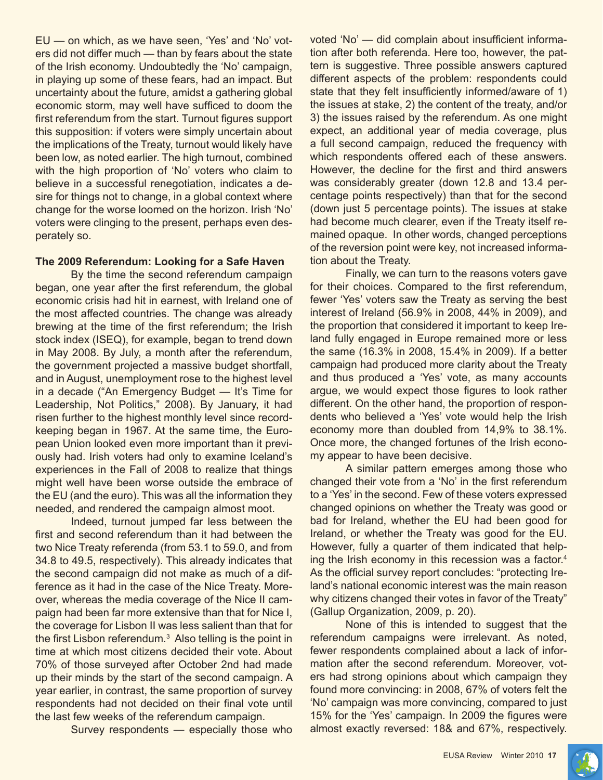EU — on which, as we have seen, 'Yes' and 'No' voters did not differ much — than by fears about the state of the Irish economy. Undoubtedly the 'No' campaign, in playing up some of these fears, had an impact. But uncertainty about the future, amidst a gathering global economic storm, may well have sufficed to doom the first referendum from the start. Turnout figures support this supposition: if voters were simply uncertain about the implications of the Treaty, turnout would likely have been low, as noted earlier. The high turnout, combined with the high proportion of 'No' voters who claim to believe in a successful renegotiation, indicates a desire for things not to change, in a global context where change for the worse loomed on the horizon. Irish 'No' voters were clinging to the present, perhaps even desperately so.

#### **The 2009 Referendum: Looking for a Safe Haven**

By the time the second referendum campaign began, one year after the first referendum, the global economic crisis had hit in earnest, with Ireland one of the most affected countries. The change was already brewing at the time of the first referendum; the Irish stock index (ISEQ), for example, began to trend down in May 2008. By July, a month after the referendum, the government projected a massive budget shortfall, and in August, unemployment rose to the highest level in a decade ("An Emergency Budget — It's Time for Leadership, Not Politics," 2008). By January, it had risen further to the highest monthly level since recordkeeping began in 1967. At the same time, the European Union looked even more important than it previously had. Irish voters had only to examine Iceland's experiences in the Fall of 2008 to realize that things might well have been worse outside the embrace of the EU (and the euro). This was all the information they needed, and rendered the campaign almost moot.

Indeed, turnout jumped far less between the first and second referendum than it had between the two Nice Treaty referenda (from 53.1 to 59.0, and from 34.8 to 49.5, respectively). This already indicates that the second campaign did not make as much of a difference as it had in the case of the Nice Treaty. Moreover, whereas the media coverage of the Nice II campaign had been far more extensive than that for Nice I, the coverage for Lisbon II was less salient than that for the first Lisbon referendum.<sup>3</sup> Also telling is the point in time at which most citizens decided their vote. About 70% of those surveyed after October 2nd had made up their minds by the start of the second campaign. A year earlier, in contrast, the same proportion of survey respondents had not decided on their final vote until the last few weeks of the referendum campaign.

Survey respondents — especially those who

voted 'No' — did complain about insufficient information after both referenda. Here too, however, the pattern is suggestive. Three possible answers captured different aspects of the problem: respondents could state that they felt insufficiently informed/aware of 1) the issues at stake, 2) the content of the treaty, and/or 3) the issues raised by the referendum. As one might expect, an additional year of media coverage, plus a full second campaign, reduced the frequency with which respondents offered each of these answers. However, the decline for the first and third answers was considerably greater (down 12.8 and 13.4 percentage points respectively) than that for the second (down just 5 percentage points). The issues at stake had become much clearer, even if the Treaty itself remained opaque. In other words, changed perceptions of the reversion point were key, not increased information about the Treaty.

Finally, we can turn to the reasons voters gave for their choices. Compared to the first referendum, fewer 'Yes' voters saw the Treaty as serving the best interest of Ireland (56.9% in 2008, 44% in 2009), and the proportion that considered it important to keep Ireland fully engaged in Europe remained more or less the same (16.3% in 2008, 15.4% in 2009). If a better campaign had produced more clarity about the Treaty and thus produced a 'Yes' vote, as many accounts argue, we would expect those figures to look rather different. On the other hand, the proportion of respondents who believed a 'Yes' vote would help the Irish economy more than doubled from 14,9% to 38.1%. Once more, the changed fortunes of the Irish economy appear to have been decisive.

A similar pattern emerges among those who changed their vote from a 'No' in the first referendum to a 'Yes' in the second. Few of these voters expressed changed opinions on whether the Treaty was good or bad for Ireland, whether the EU had been good for Ireland, or whether the Treaty was good for the EU. However, fully a quarter of them indicated that helping the Irish economy in this recession was a factor.4 As the official survey report concludes: "protecting Ireland's national economic interest was the main reason why citizens changed their votes in favor of the Treaty" (Gallup Organization, 2009, p. 20).

None of this is intended to suggest that the referendum campaigns were irrelevant. As noted, fewer respondents complained about a lack of information after the second referendum. Moreover, voters had strong opinions about which campaign they found more convincing: in 2008, 67% of voters felt the 'No' campaign was more convincing, compared to just 15% for the 'Yes' campaign. In 2009 the figures were almost exactly reversed: 18& and 67%, respectively.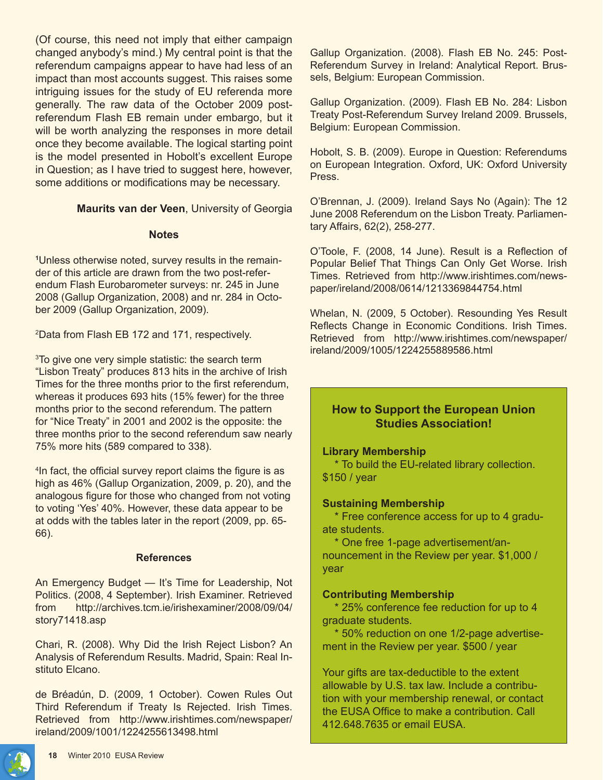(Of course, this need not imply that either campaign changed anybody's mind.) My central point is that the referendum campaigns appear to have had less of an impact than most accounts suggest. This raises some intriguing issues for the study of EU referenda more generally. The raw data of the October 2009 postreferendum Flash EB remain under embargo, but it will be worth analyzing the responses in more detail once they become available. The logical starting point is the model presented in Hobolt's excellent Europe in Question; as I have tried to suggest here, however, some additions or modifications may be necessary.

**Maurits van der Veen**, University of Georgia

#### **Notes**

**1** Unless otherwise noted, survey results in the remainder of this article are drawn from the two post-referendum Flash Eurobarometer surveys: nr. 245 in June 2008 (Gallup Organization, 2008) and nr. 284 in October 2009 (Gallup Organization, 2009).

2 Data from Flash EB 172 and 171, respectively.

3 To give one very simple statistic: the search term "Lisbon Treaty" produces 813 hits in the archive of Irish Times for the three months prior to the first referendum, whereas it produces 693 hits (15% fewer) for the three months prior to the second referendum. The pattern for "Nice Treaty" in 2001 and 2002 is the opposite: the three months prior to the second referendum saw nearly 75% more hits (589 compared to 338).

4 In fact, the official survey report claims the figure is as high as 46% (Gallup Organization, 2009, p. 20), and the analogous figure for those who changed from not voting to voting 'Yes' 40%. However, these data appear to be at odds with the tables later in the report (2009, pp. 65- 66).

#### **References**

An Emergency Budget — It's Time for Leadership, Not Politics. (2008, 4 September). Irish Examiner. Retrieved from http://archives.tcm.ie/irishexaminer/2008/09/04/ story71418.asp

Chari, R. (2008). Why Did the Irish Reject Lisbon? An Analysis of Referendum Results. Madrid, Spain: Real Instituto Elcano.

de Bréadún, D. (2009, 1 October). Cowen Rules Out Third Referendum if Treaty Is Rejected. Irish Times. Retrieved from http://www.irishtimes.com/newspaper/ ireland/2009/1001/1224255613498.html

Gallup Organization. (2008). Flash EB No. 245: Post-Referendum Survey in Ireland: Analytical Report. Brussels, Belgium: European Commission.

Gallup Organization. (2009). Flash EB No. 284: Lisbon Treaty Post-Referendum Survey Ireland 2009. Brussels, Belgium: European Commission.

Hobolt, S. B. (2009). Europe in Question: Referendums on European Integration. Oxford, UK: Oxford University Press.

O'Brennan, J. (2009). Ireland Says No (Again): The 12 June 2008 Referendum on the Lisbon Treaty. Parliamentary Affairs, 62(2), 258-277.

O'Toole, F. (2008, 14 June). Result is a Reflection of Popular Belief That Things Can Only Get Worse. Irish Times. Retrieved from http://www.irishtimes.com/newspaper/ireland/2008/0614/1213369844754.html

Whelan, N. (2009, 5 October). Resounding Yes Result Reflects Change in Economic Conditions. Irish Times. Retrieved from http://www.irishtimes.com/newspaper/ ireland/2009/1005/1224255889586.html

# **How to Support the European Union Studies Association!**

#### **Library Membership**

 \* To build the EU-related library collection. \$150 / year

#### **Sustaining Membership**

 \* Free conference access for up to 4 graduate students.

 \* One free 1-page advertisement/announcement in the Review per year. \$1,000 / year

#### **Contributing Membership**

 \* 25% conference fee reduction for up to 4 graduate students.

 \* 50% reduction on one 1/2-page advertisement in the Review per year. \$500 / year

Your gifts are tax-deductible to the extent allowable by U.S. tax law. Include a contribution with your membership renewal, or contact the EUSA Office to make a contribution. Call 412.648.7635 or email EUSA.

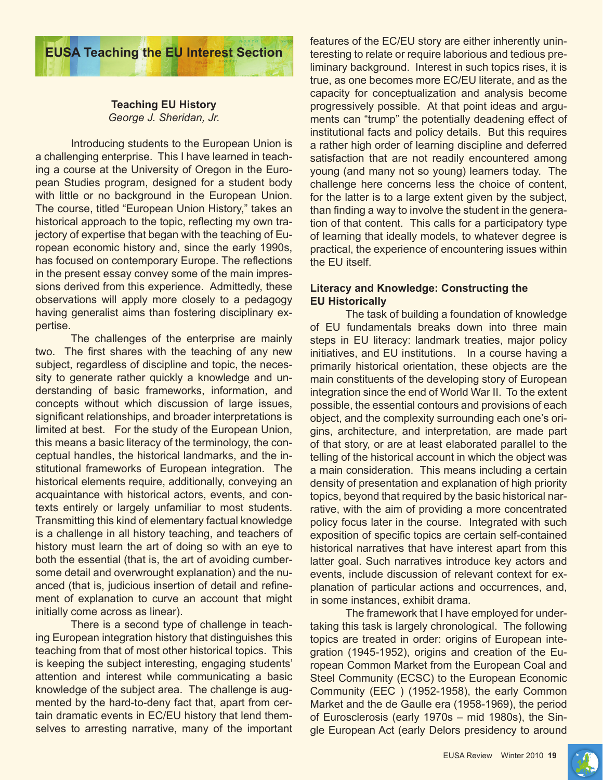

# **Teaching EU History** *George J. Sheridan, Jr.*

Introducing students to the European Union is a challenging enterprise. This I have learned in teaching a course at the University of Oregon in the European Studies program, designed for a student body with little or no background in the European Union. The course, titled "European Union History," takes an historical approach to the topic, reflecting my own trajectory of expertise that began with the teaching of European economic history and, since the early 1990s, has focused on contemporary Europe. The reflections in the present essay convey some of the main impressions derived from this experience. Admittedly, these observations will apply more closely to a pedagogy having generalist aims than fostering disciplinary expertise.

The challenges of the enterprise are mainly two. The first shares with the teaching of any new subject, regardless of discipline and topic, the necessity to generate rather quickly a knowledge and understanding of basic frameworks, information, and concepts without which discussion of large issues, significant relationships, and broader interpretations is limited at best. For the study of the European Union, this means a basic literacy of the terminology, the conceptual handles, the historical landmarks, and the institutional frameworks of European integration. The historical elements require, additionally, conveying an acquaintance with historical actors, events, and contexts entirely or largely unfamiliar to most students. Transmitting this kind of elementary factual knowledge is a challenge in all history teaching, and teachers of history must learn the art of doing so with an eye to both the essential (that is, the art of avoiding cumbersome detail and overwrought explanation) and the nuanced (that is, judicious insertion of detail and refinement of explanation to curve an account that might initially come across as linear).

There is a second type of challenge in teaching European integration history that distinguishes this teaching from that of most other historical topics. This is keeping the subject interesting, engaging students' attention and interest while communicating a basic knowledge of the subject area. The challenge is augmented by the hard-to-deny fact that, apart from certain dramatic events in EC/EU history that lend themselves to arresting narrative, many of the important features of the EC/EU story are either inherently uninteresting to relate or require laborious and tedious preliminary background. Interest in such topics rises, it is true, as one becomes more EC/EU literate, and as the capacity for conceptualization and analysis become progressively possible. At that point ideas and arguments can "trump" the potentially deadening effect of institutional facts and policy details. But this requires a rather high order of learning discipline and deferred satisfaction that are not readily encountered among young (and many not so young) learners today. The challenge here concerns less the choice of content, for the latter is to a large extent given by the subject, than finding a way to involve the student in the generation of that content. This calls for a participatory type of learning that ideally models, to whatever degree is practical, the experience of encountering issues within the EU itself.

# **Literacy and Knowledge: Constructing the EU Historically**

The task of building a foundation of knowledge of EU fundamentals breaks down into three main steps in EU literacy: landmark treaties, major policy initiatives, and EU institutions. In a course having a primarily historical orientation, these objects are the main constituents of the developing story of European integration since the end of World War II. To the extent possible, the essential contours and provisions of each object, and the complexity surrounding each one's origins, architecture, and interpretation, are made part of that story, or are at least elaborated parallel to the telling of the historical account in which the object was a main consideration. This means including a certain density of presentation and explanation of high priority topics, beyond that required by the basic historical narrative, with the aim of providing a more concentrated policy focus later in the course. Integrated with such exposition of specific topics are certain self-contained historical narratives that have interest apart from this latter goal. Such narratives introduce key actors and events, include discussion of relevant context for explanation of particular actions and occurrences, and, in some instances, exhibit drama.

The framework that I have employed for undertaking this task is largely chronological. The following topics are treated in order: origins of European integration (1945-1952), origins and creation of the European Common Market from the European Coal and Steel Community (ECSC) to the European Economic Community (EEC ) (1952-1958), the early Common Market and the de Gaulle era (1958-1969), the period of Eurosclerosis (early 1970s – mid 1980s), the Single European Act (early Delors presidency to around

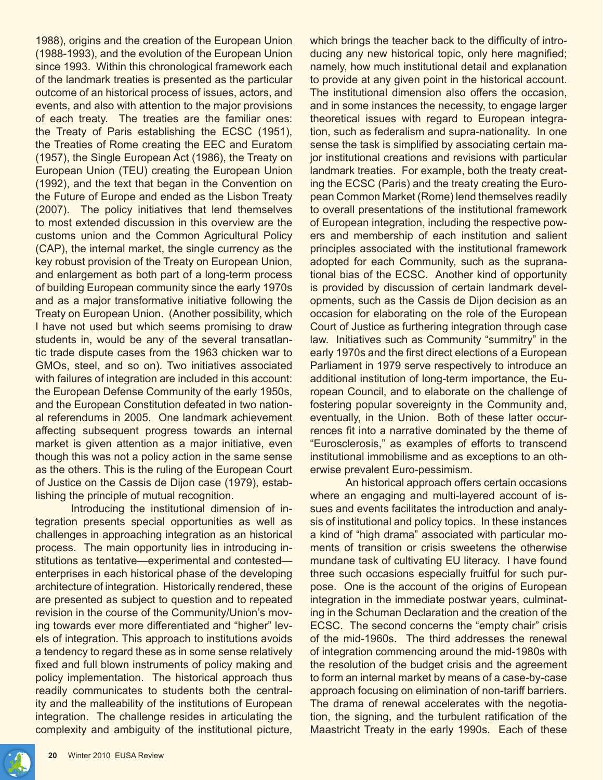1988), origins and the creation of the European Union (1988-1993), and the evolution of the European Union since 1993. Within this chronological framework each of the landmark treaties is presented as the particular outcome of an historical process of issues, actors, and events, and also with attention to the major provisions of each treaty. The treaties are the familiar ones: the Treaty of Paris establishing the ECSC (1951), the Treaties of Rome creating the EEC and Euratom (1957), the Single European Act (1986), the Treaty on European Union (TEU) creating the European Union (1992), and the text that began in the Convention on the Future of Europe and ended as the Lisbon Treaty (2007). The policy initiatives that lend themselves to most extended discussion in this overview are the customs union and the Common Agricultural Policy (CAP), the internal market, the single currency as the key robust provision of the Treaty on European Union, and enlargement as both part of a long-term process of building European community since the early 1970s and as a major transformative initiative following the Treaty on European Union. (Another possibility, which I have not used but which seems promising to draw students in, would be any of the several transatlantic trade dispute cases from the 1963 chicken war to GMOs, steel, and so on). Two initiatives associated with failures of integration are included in this account: the European Defense Community of the early 1950s, and the European Constitution defeated in two national referendums in 2005. One landmark achievement affecting subsequent progress towards an internal market is given attention as a major initiative, even though this was not a policy action in the same sense as the others. This is the ruling of the European Court of Justice on the Cassis de Dijon case (1979), establishing the principle of mutual recognition.

Introducing the institutional dimension of integration presents special opportunities as well as challenges in approaching integration as an historical process. The main opportunity lies in introducing institutions as tentative—experimental and contested enterprises in each historical phase of the developing architecture of integration. Historically rendered, these are presented as subject to question and to repeated revision in the course of the Community/Union's moving towards ever more differentiated and "higher" levels of integration. This approach to institutions avoids a tendency to regard these as in some sense relatively fixed and full blown instruments of policy making and policy implementation. The historical approach thus readily communicates to students both the centrality and the malleability of the institutions of European integration. The challenge resides in articulating the complexity and ambiguity of the institutional picture, which brings the teacher back to the difficulty of introducing any new historical topic, only here magnified; namely, how much institutional detail and explanation to provide at any given point in the historical account. The institutional dimension also offers the occasion, and in some instances the necessity, to engage larger theoretical issues with regard to European integration, such as federalism and supra-nationality. In one sense the task is simplified by associating certain major institutional creations and revisions with particular landmark treaties. For example, both the treaty creating the ECSC (Paris) and the treaty creating the European Common Market (Rome) lend themselves readily to overall presentations of the institutional framework of European integration, including the respective powers and membership of each institution and salient principles associated with the institutional framework adopted for each Community, such as the supranational bias of the ECSC. Another kind of opportunity is provided by discussion of certain landmark developments, such as the Cassis de Dijon decision as an occasion for elaborating on the role of the European Court of Justice as furthering integration through case law. Initiatives such as Community "summitry" in the early 1970s and the first direct elections of a European Parliament in 1979 serve respectively to introduce an additional institution of long-term importance, the European Council, and to elaborate on the challenge of fostering popular sovereignty in the Community and, eventually, in the Union. Both of these latter occurrences fit into a narrative dominated by the theme of "Eurosclerosis," as examples of efforts to transcend institutional immobilisme and as exceptions to an otherwise prevalent Euro-pessimism.

An historical approach offers certain occasions where an engaging and multi-layered account of issues and events facilitates the introduction and analysis of institutional and policy topics. In these instances a kind of "high drama" associated with particular moments of transition or crisis sweetens the otherwise mundane task of cultivating EU literacy. I have found three such occasions especially fruitful for such purpose. One is the account of the origins of European integration in the immediate postwar years, culminating in the Schuman Declaration and the creation of the ECSC. The second concerns the "empty chair" crisis of the mid-1960s. The third addresses the renewal of integration commencing around the mid-1980s with the resolution of the budget crisis and the agreement to form an internal market by means of a case-by-case approach focusing on elimination of non-tariff barriers. The drama of renewal accelerates with the negotiation, the signing, and the turbulent ratification of the Maastricht Treaty in the early 1990s. Each of these

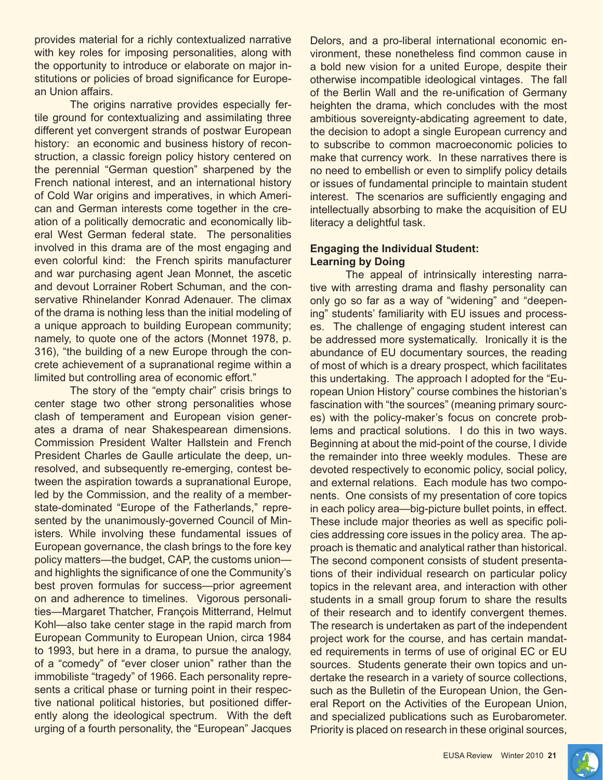provides material for a richly contextualized narrative with key roles for imposing personalities, along with the opportunity to introduce or elaborate on major institutions or policies of broad significance for European Union affairs.

The origins narrative provides especially fertile ground for contextualizing and assimilating three different yet convergent strands of postwar European history: an economic and business history of reconstruction, a classic foreign policy history centered on the perennial "German question" sharpened by the French national interest, and an international history of Cold War origins and imperatives, in which American and German interests come together in the creation of a politically democratic and economically liberal West German federal state. The personalities involved in this drama are of the most engaging and even colorful kind: the French spirits manufacturer and war purchasing agent Jean Monnet, the ascetic and devout Lorrainer Robert Schuman, and the conservative Rhinelander Konrad Adenauer. The climax of the drama is nothing less than the initial modeling of a unique approach to building European community; namely, to quote one of the actors (Monnet 1978, p. 316), "the building of a new Europe through the concrete achievement of a supranational regime within a limited but controlling area of economic effort."

The story of the "empty chair" crisis brings to center stage two other strong personalities whose clash of temperament and European vision generates a drama of near Shakespearean dimensions. Commission President Walter Hallstein and French President Charles de Gaulle articulate the deep, unresolved, and subsequently re-emerging, contest between the aspiration towards a supranational Europe, led by the Commission, and the reality of a memberstate-dominated "Europe of the Fatherlands," represented by the unanimously-governed Council of Ministers. While involving these fundamental issues of European governance, the clash brings to the fore key policy matters—the budget, CAP, the customs union and highlights the significance of one the Community's best proven formulas for success—prior agreement on and adherence to timelines. Vigorous personalities—Margaret Thatcher, François Mitterrand, Helmut Kohl—also take center stage in the rapid march from European Community to European Union, circa 1984 to 1993, but here in a drama, to pursue the analogy, of a "comedy" of "ever closer union" rather than the immobiliste "tragedy" of 1966. Each personality represents a critical phase or turning point in their respective national political histories, but positioned differently along the ideological spectrum. With the deft urging of a fourth personality, the "European" Jacques

Delors, and a pro-liberal international economic environment, these nonetheless find common cause in a bold new vision for a united Europe, despite their otherwise incompatible ideological vintages. The fall of the Berlin Wall and the re-unification of Germany heighten the drama, which concludes with the most ambitious sovereignty-abdicating agreement to date, the decision to adopt a single European currency and to subscribe to common macroeconomic policies to make that currency work. In these narratives there is no need to embellish or even to simplify policy details or issues of fundamental principle to maintain student interest. The scenarios are sufficiently engaging and intellectually absorbing to make the acquisition of EU literacy a delightful task.

# **Engaging the Individual Student: Learning by Doing**

The appeal of intrinsically interesting narrative with arresting drama and flashy personality can only go so far as a way of "widening" and "deepening" students' familiarity with EU issues and processes. The challenge of engaging student interest can be addressed more systematically. Ironically it is the abundance of EU documentary sources, the reading of most of which is a dreary prospect, which facilitates this undertaking. The approach I adopted for the "European Union History" course combines the historian's fascination with "the sources" (meaning primary sources) with the policy-maker's focus on concrete problems and practical solutions. I do this in two ways. Beginning at about the mid-point of the course, I divide the remainder into three weekly modules. These are devoted respectively to economic policy, social policy, and external relations. Each module has two components. One consists of my presentation of core topics in each policy area—big-picture bullet points, in effect. These include major theories as well as specific policies addressing core issues in the policy area. The approach is thematic and analytical rather than historical. The second component consists of student presentations of their individual research on particular policy topics in the relevant area, and interaction with other students in a small group forum to share the results of their research and to identify convergent themes. The research is undertaken as part of the independent project work for the course, and has certain mandated requirements in terms of use of original EC or EU sources. Students generate their own topics and undertake the research in a variety of source collections, such as the Bulletin of the European Union, the General Report on the Activities of the European Union, and specialized publications such as Eurobarometer. Priority is placed on research in these original sources,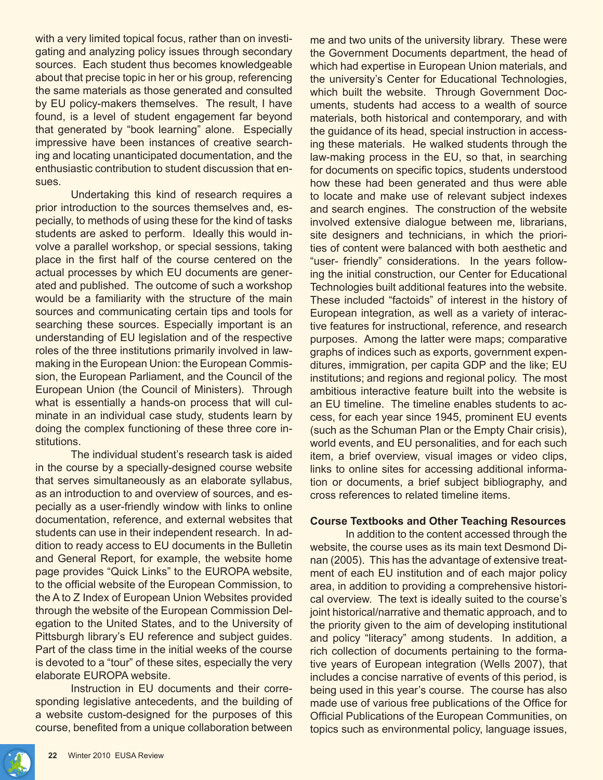with a very limited topical focus, rather than on investigating and analyzing policy issues through secondary sources. Each student thus becomes knowledgeable about that precise topic in her or his group, referencing the same materials as those generated and consulted by EU policy-makers themselves. The result, I have found, is a level of student engagement far beyond that generated by "book learning" alone. Especially impressive have been instances of creative searching and locating unanticipated documentation, and the enthusiastic contribution to student discussion that ensues.

Undertaking this kind of research requires a prior introduction to the sources themselves and, especially, to methods of using these for the kind of tasks students are asked to perform. Ideally this would involve a parallel workshop, or special sessions, taking place in the first half of the course centered on the actual processes by which EU documents are generated and published. The outcome of such a workshop would be a familiarity with the structure of the main sources and communicating certain tips and tools for searching these sources. Especially important is an understanding of EU legislation and of the respective roles of the three institutions primarily involved in lawmaking in the European Union: the European Commission, the European Parliament, and the Council of the European Union (the Council of Ministers). Through what is essentially a hands-on process that will culminate in an individual case study, students learn by doing the complex functioning of these three core institutions.

The individual student's research task is aided in the course by a specially-designed course website that serves simultaneously as an elaborate syllabus, as an introduction to and overview of sources, and especially as a user-friendly window with links to online documentation, reference, and external websites that students can use in their independent research. In addition to ready access to EU documents in the Bulletin and General Report, for example, the website home page provides "Quick Links" to the EUROPA website, to the official website of the European Commission, to the A to Z Index of European Union Websites provided through the website of the European Commission Delegation to the United States, and to the University of Pittsburgh library's EU reference and subject guides. Part of the class time in the initial weeks of the course is devoted to a "tour" of these sites, especially the very elaborate EUROPA website.

Instruction in EU documents and their corresponding legislative antecedents, and the building of a website custom-designed for the purposes of this course, benefited from a unique collaboration between me and two units of the university library. These were the Government Documents department, the head of which had expertise in European Union materials, and the university's Center for Educational Technologies, which built the website. Through Government Documents, students had access to a wealth of source materials, both historical and contemporary, and with the guidance of its head, special instruction in accessing these materials. He walked students through the law-making process in the EU, so that, in searching for documents on specific topics, students understood how these had been generated and thus were able to locate and make use of relevant subject indexes and search engines. The construction of the website involved extensive dialogue between me, librarians, site designers and technicians, in which the priorities of content were balanced with both aesthetic and "user- friendly" considerations. In the years following the initial construction, our Center for Educational Technologies built additional features into the website. These included "factoids" of interest in the history of European integration, as well as a variety of interactive features for instructional, reference, and research purposes. Among the latter were maps; comparative graphs of indices such as exports, government expenditures, immigration, per capita GDP and the like; EU institutions; and regions and regional policy. The most ambitious interactive feature built into the website is an EU timeline. The timeline enables students to access, for each year since 1945, prominent EU events (such as the Schuman Plan or the Empty Chair crisis), world events, and EU personalities, and for each such item, a brief overview, visual images or video clips, links to online sites for accessing additional information or documents, a brief subject bibliography, and cross references to related timeline items.

# **Course Textbooks and Other Teaching Resources**

In addition to the content accessed through the website, the course uses as its main text Desmond Dinan (2005). This has the advantage of extensive treatment of each EU institution and of each major policy area, in addition to providing a comprehensive historical overview. The text is ideally suited to the course's joint historical/narrative and thematic approach, and to the priority given to the aim of developing institutional and policy "literacy" among students. In addition, a rich collection of documents pertaining to the formative years of European integration (Wells 2007), that includes a concise narrative of events of this period, is being used in this year's course. The course has also made use of various free publications of the Office for Official Publications of the European Communities, on topics such as environmental policy, language issues,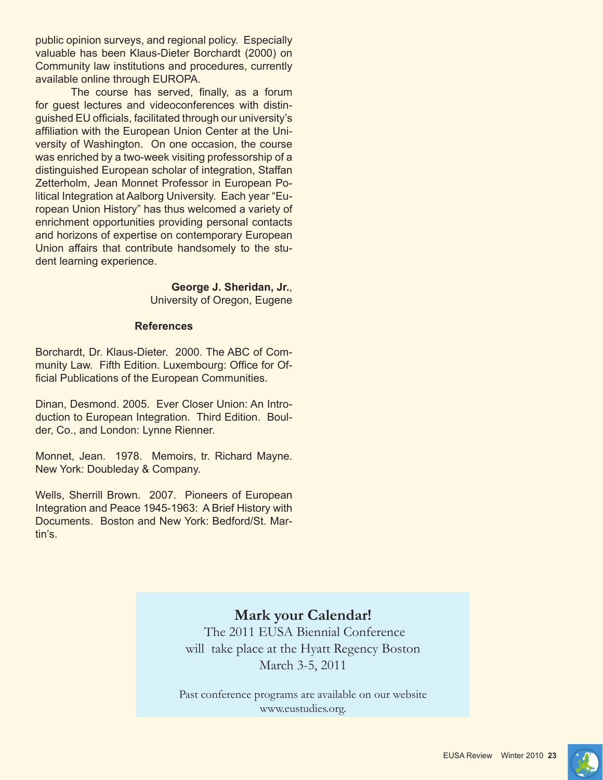public opinion surveys, and regional policy. Especially valuable has been Klaus-Dieter Borchardt (2000) on Community law institutions and procedures, currently available online through EUROPA.

The course has served, finally, as a forum for guest lectures and videoconferences with distinguished EU officials, facilitated through our university's affiliation with the European Union Center at the University of Washington. On one occasion, the course was enriched by a two-week visiting professorship of a distinguished European scholar of integration, Staffan Zetterholm, Jean Monnet Professor in European Political Integration at Aalborg University. Each year "European Union History" has thus welcomed a variety of enrichment opportunities providing personal contacts and horizons of expertise on contemporary European Union affairs that contribute handsomely to the student learning experience.

> **George J. Sheridan, Jr.**, University of Oregon, Eugene

#### **References**

Borchardt, Dr. Klaus-Dieter. 2000. The ABC of Community Law. Fifth Edition. Luxembourg: Office for Official Publications of the European Communities.

Dinan, Desmond. 2005. Ever Closer Union: An Introduction to European Integration. Third Edition. Boulder, Co., and London: Lynne Rienner.

Monnet, Jean. 1978. Memoirs, tr. Richard Mayne. New York: Doubleday & Company.

Wells, Sherrill Brown. 2007. Pioneers of European Integration and Peace 1945-1963: A Brief History with Documents. Boston and New York: Bedford/St. Martin's.

# **Mark your Calendar!**

 The 2011 EUSA Biennial Conference will take place at the Hyatt Regency Boston March 3-5, 2011

Past conference programs are available on our website www.eustudies.org.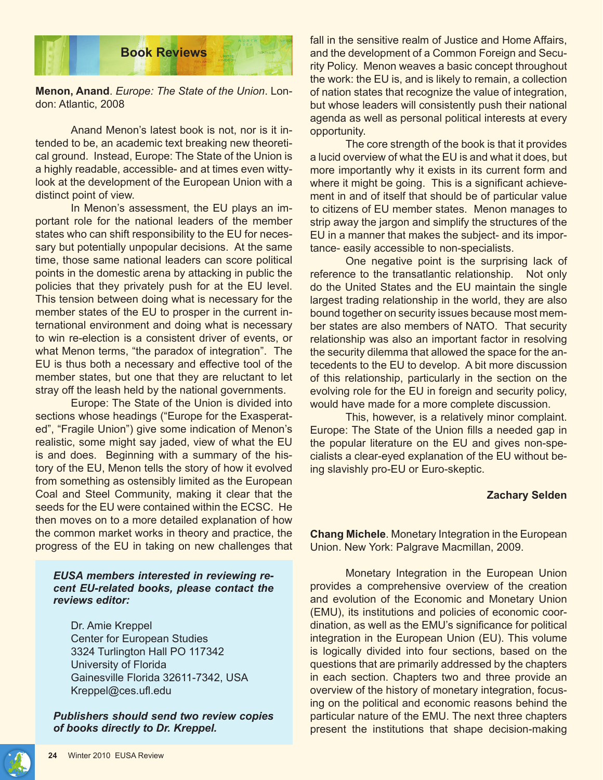

**Menon, Anand**. *Europe: The State of the Union*. London: Atlantic, 2008

Anand Menon's latest book is not, nor is it intended to be, an academic text breaking new theoretical ground. Instead, Europe: The State of the Union is a highly readable, accessible- and at times even wittylook at the development of the European Union with a distinct point of view.

In Menon's assessment, the EU plays an important role for the national leaders of the member states who can shift responsibility to the EU for necessary but potentially unpopular decisions. At the same time, those same national leaders can score political points in the domestic arena by attacking in public the policies that they privately push for at the EU level. This tension between doing what is necessary for the member states of the EU to prosper in the current international environment and doing what is necessary to win re-election is a consistent driver of events, or what Menon terms, "the paradox of integration". The EU is thus both a necessary and effective tool of the member states, but one that they are reluctant to let stray off the leash held by the national governments.

Europe: The State of the Union is divided into sections whose headings ("Europe for the Exasperated", "Fragile Union") give some indication of Menon's realistic, some might say jaded, view of what the EU is and does. Beginning with a summary of the history of the EU, Menon tells the story of how it evolved from something as ostensibly limited as the European Coal and Steel Community, making it clear that the seeds for the EU were contained within the ECSC. He then moves on to a more detailed explanation of how the common market works in theory and practice, the progress of the EU in taking on new challenges that

#### *EUSA members interested in reviewing recent EU-related books, please contact the reviews editor:*

Dr. Amie Kreppel Center for European Studies 3324 Turlington Hall PO 117342 University of Florida Gainesville Florida 32611-7342, USA Kreppel@ces.ufl.edu

*Publishers should send two review copies of books directly to Dr. Kreppel.*

fall in the sensitive realm of Justice and Home Affairs, and the development of a Common Foreign and Security Policy. Menon weaves a basic concept throughout the work: the EU is, and is likely to remain, a collection of nation states that recognize the value of integration, but whose leaders will consistently push their national agenda as well as personal political interests at every opportunity.

The core strength of the book is that it provides a lucid overview of what the EU is and what it does, but more importantly why it exists in its current form and where it might be going. This is a significant achievement in and of itself that should be of particular value to citizens of EU member states. Menon manages to strip away the jargon and simplify the structures of the EU in a manner that makes the subject- and its importance- easily accessible to non-specialists.

One negative point is the surprising lack of reference to the transatlantic relationship. Not only do the United States and the EU maintain the single largest trading relationship in the world, they are also bound together on security issues because most member states are also members of NATO. That security relationship was also an important factor in resolving the security dilemma that allowed the space for the antecedents to the EU to develop. A bit more discussion of this relationship, particularly in the section on the evolving role for the EU in foreign and security policy, would have made for a more complete discussion.

This, however, is a relatively minor complaint. Europe: The State of the Union fills a needed gap in the popular literature on the EU and gives non-specialists a clear-eyed explanation of the EU without being slavishly pro-EU or Euro-skeptic.

#### **Zachary Selden**

**Chang Michele**. Monetary Integration in the European Union. New York: Palgrave Macmillan, 2009.

Monetary Integration in the European Union provides a comprehensive overview of the creation and evolution of the Economic and Monetary Union (EMU), its institutions and policies of economic coordination, as well as the EMU's significance for political integration in the European Union (EU). This volume is logically divided into four sections, based on the questions that are primarily addressed by the chapters in each section. Chapters two and three provide an overview of the history of monetary integration, focusing on the political and economic reasons behind the particular nature of the EMU. The next three chapters present the institutions that shape decision-making

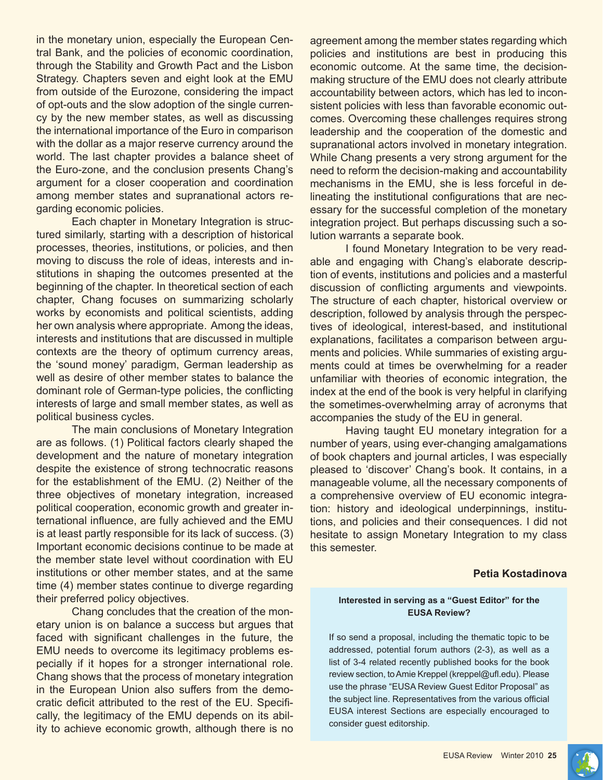in the monetary union, especially the European Central Bank, and the policies of economic coordination, through the Stability and Growth Pact and the Lisbon Strategy. Chapters seven and eight look at the EMU from outside of the Eurozone, considering the impact of opt-outs and the slow adoption of the single currency by the new member states, as well as discussing the international importance of the Euro in comparison with the dollar as a major reserve currency around the world. The last chapter provides a balance sheet of the Euro-zone, and the conclusion presents Chang's argument for a closer cooperation and coordination among member states and supranational actors regarding economic policies.

Each chapter in Monetary Integration is structured similarly, starting with a description of historical processes, theories, institutions, or policies, and then moving to discuss the role of ideas, interests and institutions in shaping the outcomes presented at the beginning of the chapter. In theoretical section of each chapter, Chang focuses on summarizing scholarly works by economists and political scientists, adding her own analysis where appropriate. Among the ideas, interests and institutions that are discussed in multiple contexts are the theory of optimum currency areas, the 'sound money' paradigm, German leadership as well as desire of other member states to balance the dominant role of German-type policies, the conflicting interests of large and small member states, as well as political business cycles.

The main conclusions of Monetary Integration are as follows. (1) Political factors clearly shaped the development and the nature of monetary integration despite the existence of strong technocratic reasons for the establishment of the EMU. (2) Neither of the three objectives of monetary integration, increased political cooperation, economic growth and greater international influence, are fully achieved and the EMU is at least partly responsible for its lack of success. (3) Important economic decisions continue to be made at the member state level without coordination with EU institutions or other member states, and at the same time (4) member states continue to diverge regarding their preferred policy objectives.

Chang concludes that the creation of the monetary union is on balance a success but argues that faced with significant challenges in the future, the EMU needs to overcome its legitimacy problems especially if it hopes for a stronger international role. Chang shows that the process of monetary integration in the European Union also suffers from the democratic deficit attributed to the rest of the EU. Specifically, the legitimacy of the EMU depends on its ability to achieve economic growth, although there is no agreement among the member states regarding which policies and institutions are best in producing this economic outcome. At the same time, the decisionmaking structure of the EMU does not clearly attribute accountability between actors, which has led to inconsistent policies with less than favorable economic outcomes. Overcoming these challenges requires strong leadership and the cooperation of the domestic and supranational actors involved in monetary integration. While Chang presents a very strong argument for the need to reform the decision-making and accountability mechanisms in the EMU, she is less forceful in delineating the institutional configurations that are necessary for the successful completion of the monetary integration project. But perhaps discussing such a solution warrants a separate book.

I found Monetary Integration to be very readable and engaging with Chang's elaborate description of events, institutions and policies and a masterful discussion of conflicting arguments and viewpoints. The structure of each chapter, historical overview or description, followed by analysis through the perspectives of ideological, interest-based, and institutional explanations, facilitates a comparison between arguments and policies. While summaries of existing arguments could at times be overwhelming for a reader unfamiliar with theories of economic integration, the index at the end of the book is very helpful in clarifying the sometimes-overwhelming array of acronyms that accompanies the study of the EU in general.

Having taught EU monetary integration for a number of years, using ever-changing amalgamations of book chapters and journal articles, I was especially pleased to 'discover' Chang's book. It contains, in a manageable volume, all the necessary components of a comprehensive overview of EU economic integration: history and ideological underpinnings, institutions, and policies and their consequences. I did not hesitate to assign Monetary Integration to my class this semester.

#### **Petia Kostadinova**

#### **Interested in serving as a "Guest Editor" for the EUSA Review?**

If so send a proposal, including the thematic topic to be addressed, potential forum authors (2-3), as well as a list of 3-4 related recently published books for the book review section, to Amie Kreppel (kreppel@ufl.edu). Please use the phrase "EUSA Review Guest Editor Proposal" as the subject line. Representatives from the various official EUSA interest Sections are especially encouraged to consider guest editorship.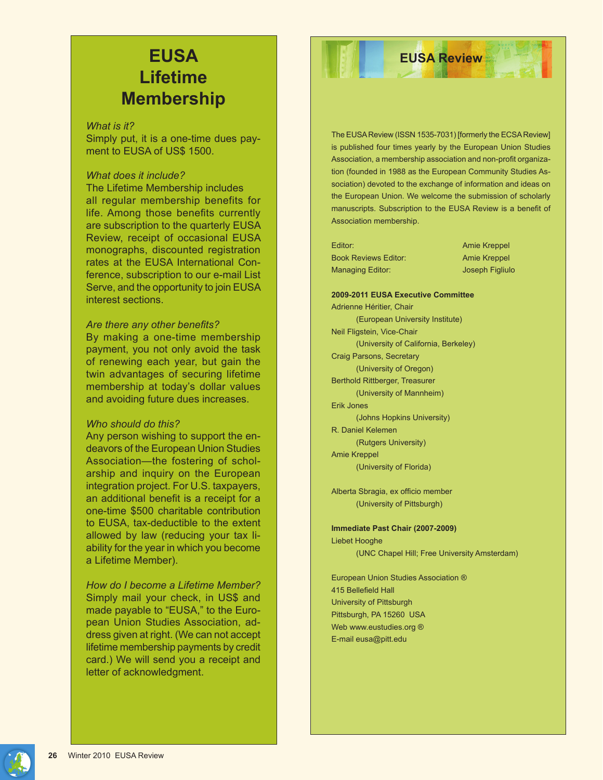# **EUSA Lifetime Membership**

#### *What is it?*

Simply put, it is a one-time dues payment to EUSA of US\$ 1500.

## *What does it include?*

The Lifetime Membership includes all regular membership benefits for life. Among those benefits currently are subscription to the quarterly EUSA Review, receipt of occasional EUSA monographs, discounted registration rates at the EUSA International Conference, subscription to our e-mail List Serve, and the opportunity to join EUSA interest sections.

#### *Are there any other benefits?*

By making a one-time membership payment, you not only avoid the task of renewing each year, but gain the twin advantages of securing lifetime membership at today's dollar values and avoiding future dues increases.

#### *Who should do this?*

Any person wishing to support the endeavors of the European Union Studies Association—the fostering of scholarship and inquiry on the European integration project. For U.S. taxpayers, an additional benefit is a receipt for a one-time \$500 charitable contribution to EUSA, tax-deductible to the extent allowed by law (reducing your tax liability for the year in which you become a Lifetime Member).

*How do I become a Lifetime Member?* Simply mail your check, in US\$ and made payable to "EUSA," to the European Union Studies Association, address given at right. (We can not accept lifetime membership payments by credit card.) We will send you a receipt and letter of acknowledgment.

The EUSA Review (ISSN 1535-7031) [formerly the ECSA Review] is published four times yearly by the European Union Studies Association, a membership association and non-profit organization (founded in 1988 as the European Community Studies Association) devoted to the exchange of information and ideas on the European Union. We welcome the submission of scholarly manuscripts. Subscription to the EUSA Review is a benefit of Association membership.

**EUSA Review** 

Editor: Amie Kreppel Book Reviews Editor: Amie Kreppel Managing Editor: Joseph Figliulo

**2009-2011 EUSA Executive Committee** Adrienne Héritier, Chair (European University Institute) Neil Fligstein, Vice-Chair (University of California, Berkeley) Craig Parsons, Secretary (University of Oregon) Berthold Rittberger, Treasurer (University of Mannheim) Erik Jones (Johns Hopkins University) R. Daniel Kelemen (Rutgers University) Amie Kreppel

#### (University of Florida)

Alberta Sbragia, ex officio member (University of Pittsburgh)

**Immediate Past Chair (2007-2009)** Liebet Hooghe (UNC Chapel Hill; Free University Amsterdam)

European Union Studies Association ® 415 Bellefield Hall University of Pittsburgh Pittsburgh, PA 15260 USA Web www.eustudies.org ® E-mail eusa@pitt.edu